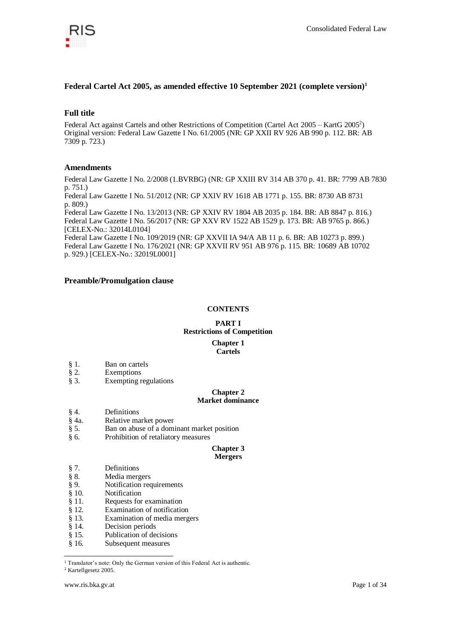

## **Federal Cartel Act 2005, as amended effective 10 September 2021 (complete version)<sup>1</sup>**

## **Full title**

Federal Act against Cartels and other Restrictions of Competition (Cartel Act 2005 - KartG 2005<sup>2</sup>) Original version: Federal Law Gazette I No. 61/2005 (NR: GP XXII RV 926 AB 990 p. 112. BR: AB 7309 p. 723.)

## **Amendments**

Federal Law Gazette I No. 2/2008 (1.BVRBG) (NR: GP XXIII RV 314 AB 370 p. 41. BR: 7799 AB 7830 p. 751.)

Federal Law Gazette I No. 51/2012 (NR: GP XXIV RV 1618 AB 1771 p. 155. BR: 8730 AB 8731 p. 809.)

Federal Law Gazette I No. 13/2013 (NR: GP XXIV RV 1804 AB 2035 p. 184. BR: AB 8847 p. 816.) Federal Law Gazette I No. 56/2017 (NR: GP XXV RV 1522 AB 1529 p. 173. BR: AB 9765 p. 866.) [CELEX-No.: 32014L0104]

Federal Law Gazette I No. 109/2019 (NR: GP XXVII IA 94/A AB 11 p. 6. BR: AB 10273 p. 899.) Federal Law Gazette I No. 176/2021 (NR: GP XXVII RV 951 AB 976 p. 115. BR: 10689 AB 10702 p. 929.) [CELEX-No.: 32019L0001]

## **Preamble/Promulgation clause**

## **CONTENTS**

## **PART I Restrictions of Competition Chapter 1 Cartels**

- § 1. Ban on cartels
- § 2. Exemptions
- § 3. Exempting regulations

#### **Chapter 2 Market dominance**

- 
- § 4. Definitions
- § 4a. Relative market power<br>§ 5. Ban on abuse of a dom § 5. Ban on abuse of a dominant market position
- § 6. Prohibition of retaliatory measures

#### **Chapter 3 Mergers**

- § 7. Definitions
	- Media mergers
- § 9. Notification requirements
- § 10. Notification
- § 11. Requests for examination
- § 12. Examination of notification
- § 13. Examination of media mergers<br>§ 14. Decision periods
- Decision periods
- § 15. Publication of decisions
- § 16. Subsequent measures

<sup>1</sup> Translator's note: Only the German version of this Federal Act is authentic.

<sup>2</sup> Kartellgesetz 2005.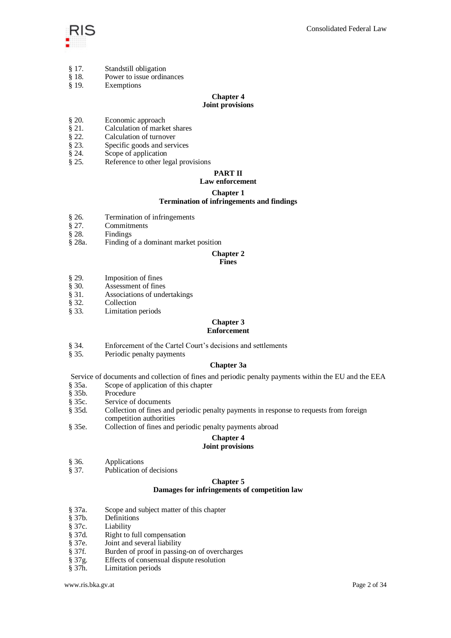

- § 17. Standstill obligation
- § 18. Power to issue ordinances
- § 19. Exemptions

#### **Chapter 4 Joint provisions**

- § 20. Economic approach
- 
- § 21. Calculation of market shares § 22. Calculation of turnover Calculation of turnover
- § 23. Specific goods and services
- § 24. Scope of application<br>§ 25. Reference to other le
- Reference to other legal provisions

# **PART II**

## **Law enforcement**

## **Chapter 1**

## **Termination of infringements and findings**

- § 26. Termination of infringements
- § 27. Commitments
- § 28. Findings
- § 28a. Finding of a dominant market position

## **Chapter 2**

## **Fines**

- 
- § 29. Imposition of fines<br>§ 30. Assessment of fines Assessment of fines
- § 31. Associations of undertakings<br>§ 32. Collection
- 
- § 32. Collection<br>§ 33. Limitation Limitation periods

#### **Chapter 3 Enforcement**

- § 34. Enforcement of the Cartel Court's decisions and settlements
- § 35. Periodic penalty payments

## **Chapter 3a**

Service of documents and collection of fines and periodic penalty payments within the EU and the EEA § 35a. Scope of application of this chapter

- Scope of application of this chapter
- § 35b. Procedure
- § 35c. Service of documents
- § 35d. Collection of fines and periodic penalty payments in response to requests from foreign competition authorities
- § 35e. Collection of fines and periodic penalty payments abroad

# **Chapter 4**

## **Joint provisions**

- § 36. Applications<br>§ 37. Publication of
- Publication of decisions

## **Chapter 5 Damages for infringements of competition law**

- § 37a. Scope and subject matter of this chapter
- Definitions
- § 37c. Liability
- § 37d. Right to full compensation § 37e. Joint and several liability
- Joint and several liability
- § 37f. Burden of proof in passing-on of overcharges
- § 37g. Effects of consensual dispute resolution<br>§ 37h. Limitation periods
- Limitation periods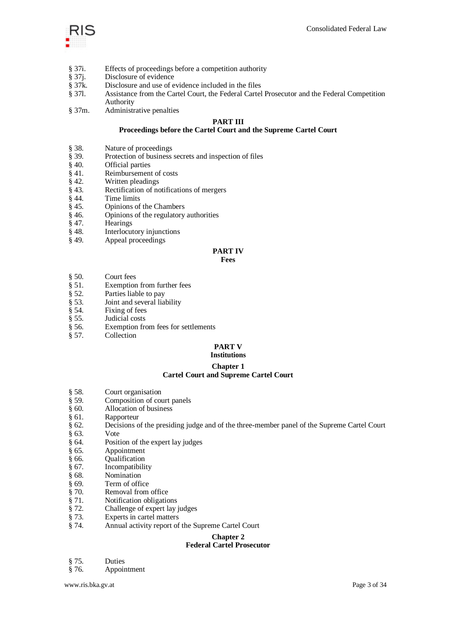

- § 37i. Effects of proceedings before a competition authority
- § 37j. Disclosure of evidence<br>§ 37k. Disclosure and use of e
- Disclosure and use of evidence included in the files
- § 37l. Assistance from the Cartel Court, the Federal Cartel Prosecutor and the Federal Competition Authority
- § 37m. Administrative penalties

## **PART III**

## **Proceedings before the Cartel Court and the Supreme Cartel Court**

- § 38. Nature of proceedings<br>§ 39. Protection of business
- Protection of business secrets and inspection of files
- § 40. Official parties<br>§ 41. Reimbursemen
- $§ 41.$  Reimbursement of costs  $§ 42.$  Written pleadings
- § 42. Written pleadings<br>§ 43. Rectification of no
- Rectification of notifications of mergers
- $\begin{array}{cc} \S 44. \\ \S 45. \end{array}$  Time limits
- $§ 45.$  Opinions of the Chambers  $§ 46.$  Opinions of the regulatory
- § 46. Opinions of the regulatory authorities
- § 47. Hearings
- § 48. Interlocutory injunctions
- § 49. Appeal proceedings

## **PART IV**

## **Fees**

- § 50. Court fees
- $\frac{8}{9}$  51. Exemption from further fees<br>  $\frac{8}{9}$  52. Parties liable to pay
- Parties liable to pay
- § 53. Joint and several liability
- § 54. Fixing of fees<br>§ 55. Judicial costs
- Judicial costs
- § 56. Exemption from fees for settlements
- § 57. Collection

#### **PART V Institutions**

# **Chapter 1**

## **Cartel Court and Supreme Cartel Court**

- § 58. Court organisation<br>§ 59. Composition of co
- § 59. Composition of court panels<br>§ 60. Allocation of business
- § 60. Allocation of business
- § 61. Rapporteur
- § 62. Decisions of the presiding judge and of the three-member panel of the Supreme Cartel Court
- § 63. Vote
- § 64. Position of the expert lay judges
- § 65. Appointment
- § 66. Qualification
- § 67. Incompatibility
- § 68. Nomination
- § 69. Term of office
- 
- § 70. Removal from office<br>§ 71. Notification obligation
- § 71. Notification obligations<br>§ 72. Challenge of expert lay Challenge of expert lay judges
- 
- § 73. Experts in cartel matters § 74. Annual activity report of Annual activity report of the Supreme Cartel Court

# **Chapter 2**

## **Federal Cartel Prosecutor**

- § 75. Duties
- § 76. Appointment

www.ris.bka.gv.at Page 3 of 34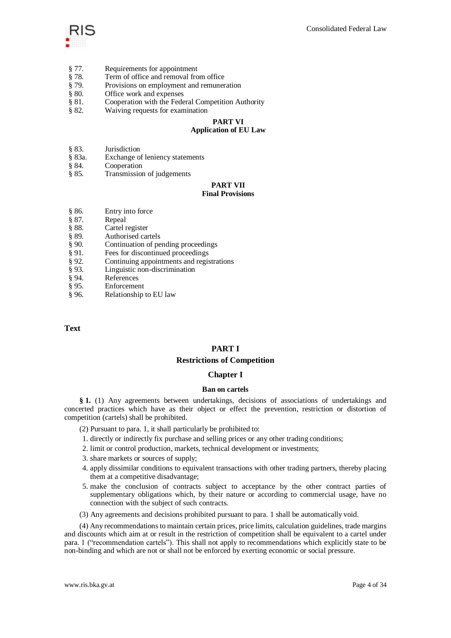

- § 77. Requirements for appointment
- § 78. Term of office and removal from office
- § 79. Provisions on employment and remuneration
- § 80. Office work and expenses
- § 81. Cooperation with the Federal Competition Authority
- § 82. Waiving requests for examination

#### **PART VI Application of EU Law**

- § 83. Jurisdiction
- § 83a. Exchange of leniency statements
- § 84. Cooperation
- § 85. Transmission of judgements

# **PART VII**

## **Final Provisions**

- § 86. Entry into force
- $§ 87.$  Repeal<br> $§ 88.$  Cartel 1
- § 88. Cartel register<br>§ 89. Authorised can
- Authorised cartels
- § 90. Continuation of pending proceedings
- 
- § 91. Fees for discontinued proceedings<br>§ 92. Continuing appointments and regis § 92. Continuing appointments and registrations § 93. Linguistic non-discrimination
- Linguistic non-discrimination
- 
- § 94. References<br>§ 95. Enforcement Enforcement
- § 96. Relationship to EU law

## **Text**

## **PART I**

## **Restrictions of Competition**

## **Chapter I**

#### **Ban on cartels**

**§ 1.** (1) Any agreements between undertakings, decisions of associations of undertakings and concerted practices which have as their object or effect the prevention, restriction or distortion of competition (cartels) shall be prohibited.

(2) Pursuant to para. 1, it shall particularly be prohibited to:

- 1. directly or indirectly fix purchase and selling prices or any other trading conditions;
- 2. limit or control production, markets, technical development or investments;
- 3. share markets or sources of supply;
- 4. apply dissimilar conditions to equivalent transactions with other trading partners, thereby placing them at a competitive disadvantage;
- 5. make the conclusion of contracts subject to acceptance by the other contract parties of supplementary obligations which, by their nature or according to commercial usage, have no connection with the subject of such contracts.
- (3) Any agreements and decisions prohibited pursuant to para. 1 shall be automatically void.

(4) Any recommendations to maintain certain prices, price limits, calculation guidelines, trade margins and discounts which aim at or result in the restriction of competition shall be equivalent to a cartel under para. 1 ("recommendation cartels"). This shall not apply to recommendations which explicitly state to be non-binding and which are not or shall not be enforced by exerting economic or social pressure.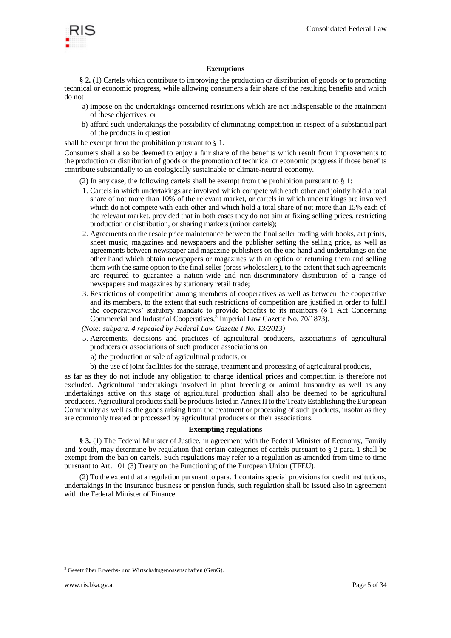

## **Exemptions**

**§ 2.** (1) Cartels which contribute to improving the production or distribution of goods or to promoting technical or economic progress, while allowing consumers a fair share of the resulting benefits and which do not

- a) impose on the undertakings concerned restrictions which are not indispensable to the attainment of these objectives, or
- b) afford such undertakings the possibility of eliminating competition in respect of a substantial part of the products in question

shall be exempt from the prohibition pursuant to § 1.

Consumers shall also be deemed to enjoy a fair share of the benefits which result from improvements to the production or distribution of goods or the promotion of technical or economic progress if those benefits contribute substantially to an ecologically sustainable or climate-neutral economy.

(2) In any case, the following cartels shall be exempt from the prohibition pursuant to § 1:

- 1. Cartels in which undertakings are involved which compete with each other and jointly hold a total share of not more than 10% of the relevant market, or cartels in which undertakings are involved which do not compete with each other and which hold a total share of not more than 15% each of the relevant market, provided that in both cases they do not aim at fixing selling prices, restricting production or distribution, or sharing markets (minor cartels);
- 2. Agreements on the resale price maintenance between the final seller trading with books, art prints, sheet music, magazines and newspapers and the publisher setting the selling price, as well as agreements between newspaper and magazine publishers on the one hand and undertakings on the other hand which obtain newspapers or magazines with an option of returning them and selling them with the same option to the final seller (press wholesalers), to the extent that such agreements are required to guarantee a nation-wide and non-discriminatory distribution of a range of newspapers and magazines by stationary retail trade;
- 3. Restrictions of competition among members of cooperatives as well as between the cooperative and its members, to the extent that such restrictions of competition are justified in order to fulfil the cooperatives' statutory mandate to provide benefits to its members (§ 1 Act Concerning Commercial and Industrial Cooperatives, $\frac{3}{5}$  Imperial Law Gazette No. 70/1873).

*(Note: subpara. 4 repealed by Federal Law Gazette I No. 13/2013)*

- 5. Agreements, decisions and practices of agricultural producers, associations of agricultural producers or associations of such producer associations on
	- a) the production or sale of agricultural products, or
	- b) the use of joint facilities for the storage, treatment and processing of agricultural products,

as far as they do not include any obligation to charge identical prices and competition is therefore not excluded. Agricultural undertakings involved in plant breeding or animal husbandry as well as any undertakings active on this stage of agricultural production shall also be deemed to be agricultural producers. Agricultural products shall be products listed in Annex II to the Treaty Establishing the European Community as well as the goods arising from the treatment or processing of such products, insofar as they are commonly treated or processed by agricultural producers or their associations.

#### **Exempting regulations**

**§ 3.** (1) The Federal Minister of Justice, in agreement with the Federal Minister of Economy, Family and Youth, may determine by regulation that certain categories of cartels pursuant to § 2 para. 1 shall be exempt from the ban on cartels. Such regulations may refer to a regulation as amended from time to time pursuant to Art. 101 (3) Treaty on the Functioning of the European Union (TFEU).

(2) To the extent that a regulation pursuant to para. 1 contains special provisions for credit institutions, undertakings in the insurance business or pension funds, such regulation shall be issued also in agreement with the Federal Minister of Finance.

<sup>3</sup> Gesetz über Erwerbs- und Wirtschaftsgenossenschaften (GenG).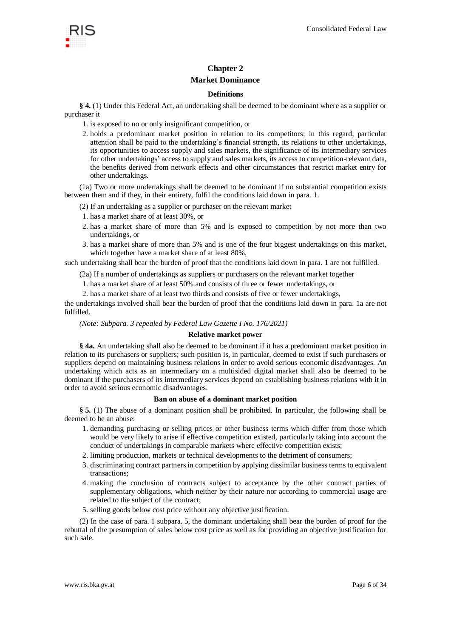

## **Chapter 2**

## **Market Dominance**

## **Definitions**

**§ 4.** (1) Under this Federal Act, an undertaking shall be deemed to be dominant where as a supplier or purchaser it

- 1. is exposed to no or only insignificant competition, or
- 2. holds a predominant market position in relation to its competitors; in this regard, particular attention shall be paid to the undertaking's financial strength, its relations to other undertakings, its opportunities to access supply and sales markets, the significance of its intermediary services for other undertakings' access to supply and sales markets, its access to competition-relevant data, the benefits derived from network effects and other circumstances that restrict market entry for other undertakings.

(1a) Two or more undertakings shall be deemed to be dominant if no substantial competition exists between them and if they, in their entirety, fulfil the conditions laid down in para. 1.

- (2) If an undertaking as a supplier or purchaser on the relevant market
- 1. has a market share of at least 30%, or
- 2. has a market share of more than 5% and is exposed to competition by not more than two undertakings, or
- 3. has a market share of more than 5% and is one of the four biggest undertakings on this market, which together have a market share of at least 80%,

such undertaking shall bear the burden of proof that the conditions laid down in para. 1 are not fulfilled.

(2a) If a number of undertakings as suppliers or purchasers on the relevant market together

- 1. has a market share of at least 50% and consists of three or fewer undertakings, or
- 2. has a market share of at least two thirds and consists of five or fewer undertakings,

the undertakings involved shall bear the burden of proof that the conditions laid down in para. 1a are not fulfilled.

*(Note: Subpara. 3 repealed by Federal Law Gazette I No. 176/2021)*

#### **Relative market power**

**§ 4a.** An undertaking shall also be deemed to be dominant if it has a predominant market position in relation to its purchasers or suppliers; such position is, in particular, deemed to exist if such purchasers or suppliers depend on maintaining business relations in order to avoid serious economic disadvantages. An undertaking which acts as an intermediary on a multisided digital market shall also be deemed to be dominant if the purchasers of its intermediary services depend on establishing business relations with it in order to avoid serious economic disadvantages.

#### **Ban on abuse of a dominant market position**

**§ 5.** (1) The abuse of a dominant position shall be prohibited. In particular, the following shall be deemed to be an abuse:

- 1. demanding purchasing or selling prices or other business terms which differ from those which would be very likely to arise if effective competition existed, particularly taking into account the conduct of undertakings in comparable markets where effective competition exists;
- 2. limiting production, markets or technical developments to the detriment of consumers;
- 3. discriminating contract partners in competition by applying dissimilar business terms to equivalent transactions;
- 4. making the conclusion of contracts subject to acceptance by the other contract parties of supplementary obligations, which neither by their nature nor according to commercial usage are related to the subject of the contract;
- 5. selling goods below cost price without any objective justification.

(2) In the case of para. 1 subpara. 5, the dominant undertaking shall bear the burden of proof for the rebuttal of the presumption of sales below cost price as well as for providing an objective justification for such sale.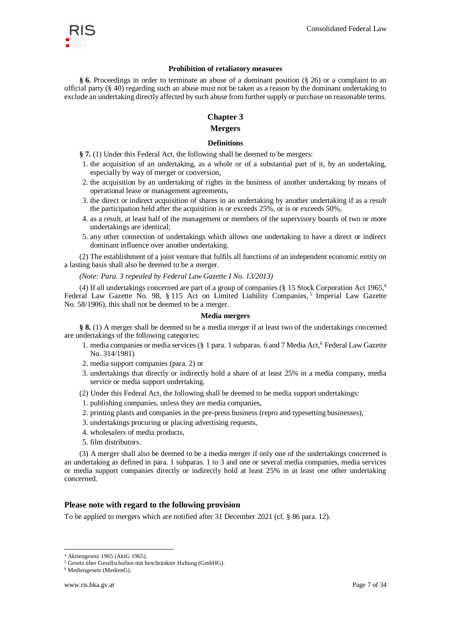

#### **Prohibition of retaliatory measures**

**§ 6.** Proceedings in order to terminate an abuse of a dominant position (§ 26) or a complaint to an official party (§ 40) regarding such an abuse must not be taken as a reason by the dominant undertaking to exclude an undertaking directly affected by such abuse from further supply or purchase on reasonable terms.

## **Chapter 3**

## **Mergers**

## **Definitions**

- **§ 7.** (1) Under this Federal Act, the following shall be deemed to be mergers:
- 1. the acquisition of an undertaking, as a whole or of a substantial part of it, by an undertaking, especially by way of merger or conversion,
- 2. the acquisition by an undertaking of rights in the business of another undertaking by means of operational lease or management agreements,
- 3. the direct or indirect acquisition of shares in an undertaking by another undertaking if as a result the participation held after the acquisition is or exceeds 25%, or is or exceeds 50%,
- 4. as a result, at least half of the management or members of the supervisory boards of two or more undertakings are identical;
- 5. any other connection of undertakings which allows one undertaking to have a direct or indirect dominant influence over another undertaking.

(2) The establishment of a joint venture that fulfils all functions of an independent economic entity on a lasting basis shall also be deemed to be a merger.

*(Note: Para. 3 repealed by Federal Law Gazette I No. 13/2013)*

(4) If all undertakings concerned are part of a group of companies (§ 15 Stock Corporation Act 1965,<sup>4</sup> Federal Law Gazette No. 98, § 115 Act on Limited Liability Companies,<sup>5</sup> Imperial Law Gazette No. 58/1906), this shall not be deemed to be a merger.

#### **Media mergers**

**§ 8.** (1) A merger shall be deemed to be a media merger if at least two of the undertakings concerned are undertakings of the following categories:

- 1. media companies or media services (§ 1 para. 1 subparas. 6 and 7 Media Act,<sup>6</sup> Federal Law Gazette No. 314/1981)
- 2. media support companies (para. 2) or
- 3. undertakings that directly or indirectly hold a share of at least 25% in a media company, media service or media support undertaking.
- (2) Under this Federal Act, the following shall be deemed to be media support undertakings:
- 1. publishing companies, unless they are media companies,
- 2. printing plants and companies in the pre-press business (repro and typesetting businesses),
- 3. undertakings procuring or placing advertising requests,
- 4. wholesalers of media products,
- 5. film distributors.

(3) A merger shall also be deemed to be a media merger if only one of the undertakings concerned is an undertaking as defined in para. 1 subparas. 1 to 3 and one or several media companies, media services or media support companies directly or indirectly hold at least 25% in at least one other undertaking concerned.

#### **Please note with regard to the following provision**

To be applied to mergers which are notified after 31 December 2021 (cf. § 86 para. 12).

-

<sup>4</sup> Aktiengesetz 1965 (AktG 1965).

<sup>5</sup> Gesetz über Gesellschaften mit beschränkter Haftung (GmbHG).

<sup>6</sup> Mediengesetz (MedienG).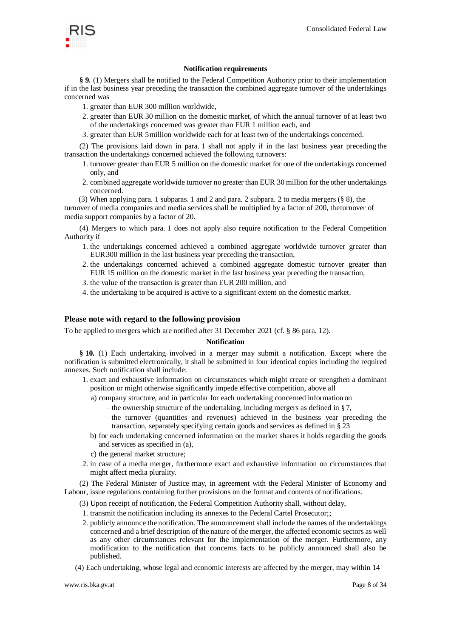

## **Notification requirements**

**§ 9.** (1) Mergers shall be notified to the Federal Competition Authority prior to their implementation if in the last business year preceding the transaction the combined aggregate turnover of the undertakings concerned was

- 1. greater than EUR 300 million worldwide,
- 2. greater than EUR 30 million on the domestic market, of which the annual turnover of at least two of the undertakings concerned was greater than EUR 1 million each, and
- 3. greater than EUR 5million worldwide each for at least two of the undertakings concerned.

(2) The provisions laid down in para. 1 shall not apply if in the last business year preceding the transaction the undertakings concerned achieved the following turnovers:

- 1. turnover greater than EUR 5 million on the domestic market for one of the undertakings concerned only, and
- 2. combined aggregate worldwide turnover no greater than EUR 30 million for the other undertakings concerned.

(3) When applying para. 1 subparas. 1 and 2 and para. 2 subpara. 2 to media mergers (§ 8), the turnover of media companies and media services shall be multiplied by a factor of 200, theturnover of media support companies by a factor of 20.

(4) Mergers to which para. 1 does not apply also require notification to the Federal Competition Authority if

- 1. the undertakings concerned achieved a combined aggregate worldwide turnover greater than EUR300 million in the last business year preceding the transaction,
- 2. the undertakings concerned achieved a combined aggregate domestic turnover greater than EUR 15 million on the domestic market in the last business year preceding the transaction,
- 3. the value of the transaction is greater than EUR 200 million, and
- 4. the undertaking to be acquired is active to a significant extent on the domestic market.

## **Please note with regard to the following provision**

To be applied to mergers which are notified after 31 December 2021 (cf. § 86 para. 12).

#### **Notification**

**§ 10.** (1) Each undertaking involved in a merger may submit a notification. Except where the notification is submitted electronically, it shall be submitted in four identical copies including the required annexes. Such notification shall include:

- 1. exact and exhaustive information on circumstances which might create or strengthen a dominant position or might otherwise significantly impede effective competition, above all
	- a) company structure, and in particular for each undertaking concerned information on
		- the ownership structure of the undertaking, including mergers as defined in § 7,
		- the turnover (quantities and revenues) achieved in the business year preceding the transaction, separately specifying certain goods and services as defined in § 23
	- b) for each undertaking concerned information on the market shares it holds regarding the goods and services as specified in (a),
	- c) the general market structure;
- 2. in case of a media merger, furthermore exact and exhaustive information on circumstances that might affect media plurality.

(2) The Federal Minister of Justice may, in agreement with the Federal Minister of Economy and Labour, issue regulations containing further provisions on the format and contents of notifications.

- (3) Upon receipt of notification, the Federal Competition Authority shall, without delay,
- 1. transmit the notification including its annexes to the Federal Cartel Prosecutor;;
- 2. publicly announce the notification. The announcement shall include the names of the undertakings concerned and a brief description of the nature of the merger, the affected economic sectors as well as any other circumstances relevant for the implementation of the merger. Furthermore, any modification to the notification that concerns facts to be publicly announced shall also be published.
- (4) Each undertaking, whose legal and economic interests are affected by the merger, may within 14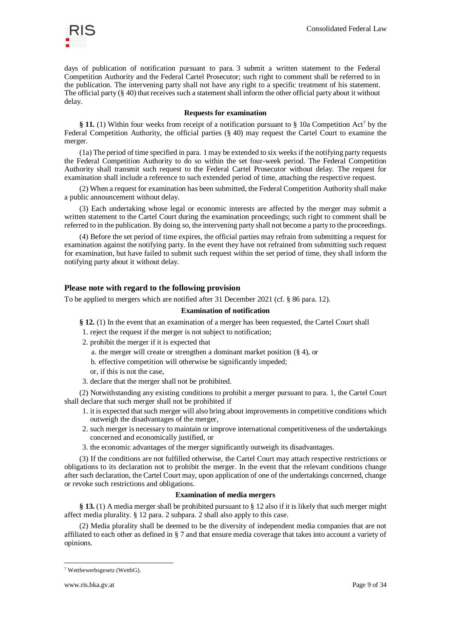

days of publication of notification pursuant to para. 3 submit a written statement to the Federal Competition Authority and the Federal Cartel Prosecutor; such right to comment shall be referred to in the publication. The intervening party shall not have any right to a specific treatment of his statement. The official party  $(\S 40)$  that receives such a statement shall inform the other official party about it without delay.

## **Requests for examination**

**§ 11.** (1) Within four weeks from receipt of a notification pursuant to § 10a Competition Act<sup>7</sup> by the Federal Competition Authority, the official parties (§ 40) may request the Cartel Court to examine the merger.

(1a) The period of time specified in para. 1 may be extended to six weeks if the notifying party requests the Federal Competition Authority to do so within the set four-week period. The Federal Competition Authority shall transmit such request to the Federal Cartel Prosecutor without delay. The request for examination shall include a reference to such extended period of time, attaching the respective request.

(2) When a request for examination has been submitted, the Federal Competition Authority shall make a public announcement without delay.

(3) Each undertaking whose legal or economic interests are affected by the merger may submit a written statement to the Cartel Court during the examination proceedings; such right to comment shall be referred to in the publication. By doing so, the intervening party shall not become a party to the proceedings.

(4) Before the set period of time expires, the official parties may refrain from submitting a request for examination against the notifying party. In the event they have not refrained from submitting such request for examination, but have failed to submit such request within the set period of time, they shall inform the notifying party about it without delay.

## **Please note with regard to the following provision**

To be applied to mergers which are notified after 31 December 2021 (cf. § 86 para. 12).

## **Examination of notification**

**§ 12.** (1) In the event that an examination of a merger has been requested, the Cartel Court shall

- 1. reject the request if the merger is not subject to notification;
- 2. prohibit the merger if it is expected that
	- a. the merger will create or strengthen a dominant market position (§ 4), or

b. effective competition will otherwise be significantly impeded;

- or, if this is not the case,
- 3. declare that the merger shall not be prohibited.

(2) Notwithstanding any existing conditions to prohibit a merger pursuant to para. 1, the Cartel Court shall declare that such merger shall not be prohibited if

- 1. it is expected that such merger will also bring about improvements in competitive conditions which outweigh the disadvantages of the merger,
- 2. such merger is necessary to maintain or improve international competitiveness of the undertakings concerned and economically justified, or
- 3. the economic advantages of the merger significantly outweigh its disadvantages.

(3) If the conditions are not fulfilled otherwise, the Cartel Court may attach respective restrictions or obligations to its declaration not to prohibit the merger. In the event that the relevant conditions change after such declaration, the Cartel Court may, upon application of one of the undertakings concerned, change or revoke such restrictions and obligations.

#### **Examination of media mergers**

**§ 13.** (1) A media merger shall be prohibited pursuant to § 12 also if it is likely that such merger might affect media plurality. § 12 para. 2 subpara. 2 shall also apply to this case.

(2) Media plurality shall be deemed to be the diversity of independent media companies that are not affiliated to each other as defined in § 7 and that ensure media coverage that takes into account a variety of opinions.

<sup>7</sup> Wettbewerbsgesetz (WettbG).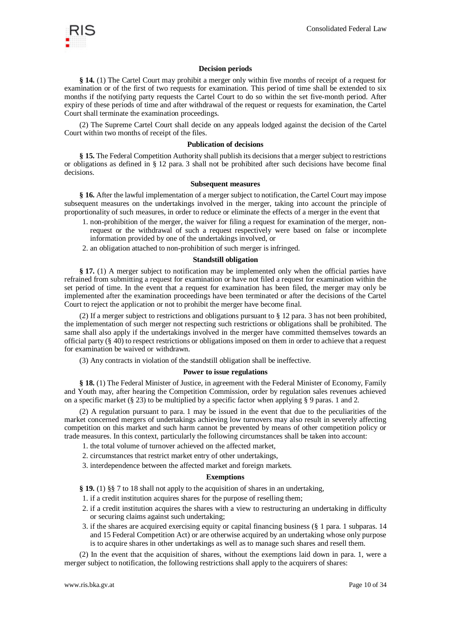

### **Decision periods**

**§ 14.** (1) The Cartel Court may prohibit a merger only within five months of receipt of a request for examination or of the first of two requests for examination. This period of time shall be extended to six months if the notifying party requests the Cartel Court to do so within the set five-month period. After expiry of these periods of time and after withdrawal of the request or requests for examination, the Cartel Court shall terminate the examination proceedings.

(2) The Supreme Cartel Court shall decide on any appeals lodged against the decision of the Cartel Court within two months of receipt of the files.

#### **Publication of decisions**

**§ 15.** The Federal Competition Authority shall publish its decisions that a merger subject to restrictions or obligations as defined in § 12 para. 3 shall not be prohibited after such decisions have become final decisions.

#### **Subsequent measures**

**§ 16.** After the lawful implementation of a merger subject to notification, the Cartel Court may impose subsequent measures on the undertakings involved in the merger, taking into account the principle of proportionality of such measures, in order to reduce or eliminate the effects of a merger in the event that

- 1. non-prohibition of the merger, the waiver for filing a request for examination of the merger, nonrequest or the withdrawal of such a request respectively were based on false or incomplete information provided by one of the undertakings involved, or
- 2. an obligation attached to non-prohibition of such merger is infringed.

#### **Standstill obligation**

**§ 17.** (1) A merger subject to notification may be implemented only when the official parties have refrained from submitting a request for examination or have not filed a request for examination within the set period of time. In the event that a request for examination has been filed, the merger may only be implemented after the examination proceedings have been terminated or after the decisions of the Cartel Court to reject the application or not to prohibit the merger have become final.

(2) If a merger subject to restrictions and obligations pursuant to § 12 para. 3 has not been prohibited, the implementation of such merger not respecting such restrictions or obligations shall be prohibited. The same shall also apply if the undertakings involved in the merger have committed themselves towards an official party (§ 40) to respect restrictions or obligations imposed on them in order to achieve that a request for examination be waived or withdrawn.

(3) Any contracts in violation of the standstill obligation shall be ineffective.

#### **Power to issue regulations**

**§ 18.** (1) The Federal Minister of Justice, in agreement with the Federal Minister of Economy, Family and Youth may, after hearing the Competition Commission, order by regulation sales revenues achieved on a specific market (§ 23) to be multiplied by a specific factor when applying § 9 paras. 1 and 2.

(2) A regulation pursuant to para. 1 may be issued in the event that due to the peculiarities of the market concerned mergers of undertakings achieving low turnovers may also result in severely affecting competition on this market and such harm cannot be prevented by means of other competition policy or trade measures. In this context, particularly the following circumstances shall be taken into account:

- 1. the total volume of turnover achieved on the affected market,
- 2. circumstances that restrict market entry of other undertakings,
- 3. interdependence between the affected market and foreign markets.

## **Exemptions**

**§ 19.** (1) §§ 7 to 18 shall not apply to the acquisition of shares in an undertaking,

- 1. if a credit institution acquires shares for the purpose of reselling them;
- 2. if a credit institution acquires the shares with a view to restructuring an undertaking in difficulty or securing claims against such undertaking;
- 3. if the shares are acquired exercising equity or capital financing business (§ 1 para. 1 subparas. 14 and 15 Federal Competition Act) or are otherwise acquired by an undertaking whose only purpose is to acquire shares in other undertakings as well as to manage such shares and resell them.

(2) In the event that the acquisition of shares, without the exemptions laid down in para. 1, were a merger subject to notification, the following restrictions shall apply to the acquirers of shares: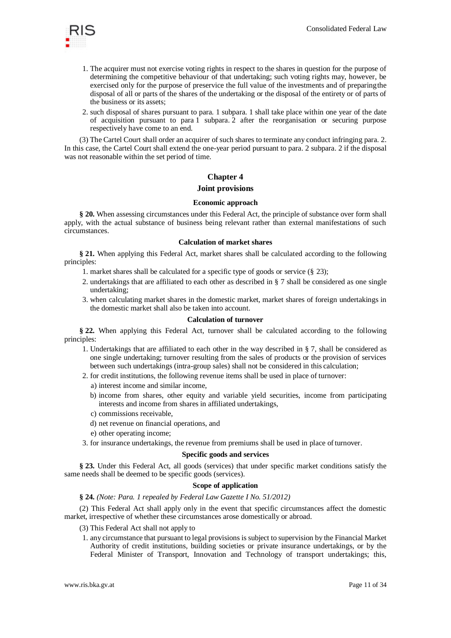

- 1. The acquirer must not exercise voting rights in respect to the shares in question for the purpose of determining the competitive behaviour of that undertaking; such voting rights may, however, be exercised only for the purpose of preservice the full value of the investments and of preparingthe disposal of all or parts of the shares of the undertaking or the disposal of the entirety or of parts of the business or its assets;
- 2. such disposal of shares pursuant to para. 1 subpara. 1 shall take place within one year of the date of acquisition pursuant to para 1 subpara. 2 after the reorganisation or securing purpose respectively have come to an end.

(3) The Cartel Court shall order an acquirer of such shares to terminate any conduct infringing para. 2. In this case, the Cartel Court shall extend the one-year period pursuant to para. 2 subpara. 2 if the disposal was not reasonable within the set period of time.

## **Chapter 4**

## **Joint provisions**

## **Economic approach**

**§ 20.** When assessing circumstances under this Federal Act, the principle of substance over form shall apply, with the actual substance of business being relevant rather than external manifestations of such circumstances.

## **Calculation of market shares**

**§ 21.** When applying this Federal Act, market shares shall be calculated according to the following principles:

- 1. market shares shall be calculated for a specific type of goods or service (§ 23);
- 2. undertakings that are affiliated to each other as described in § 7 shall be considered as one single undertaking;
- 3. when calculating market shares in the domestic market, market shares of foreign undertakings in the domestic market shall also be taken into account.

### **Calculation of turnover**

**§ 22.** When applying this Federal Act, turnover shall be calculated according to the following principles:

- 1. Undertakings that are affiliated to each other in the way described in § 7, shall be considered as one single undertaking; turnover resulting from the sales of products or the provision of services between such undertakings (intra-group sales) shall not be considered in this calculation;
- 2. for credit institutions, the following revenue items shall be used in place of turnover:
	- a) interest income and similar income,
	- b) income from shares, other equity and variable yield securities, income from participating interests and income from shares in affiliated undertakings,
	- c) commissions receivable,
	- d) net revenue on financial operations, and
	- e) other operating income;
- 3. for insurance undertakings, the revenue from premiums shall be used in place ofturnover.

#### **Specific goods and services**

**§ 23.** Under this Federal Act, all goods (services) that under specific market conditions satisfy the same needs shall be deemed to be specific goods (services).

### **Scope of application**

#### **§ 24.** *(Note: Para. 1 repealed by Federal Law Gazette I No. 51/2012)*

(2) This Federal Act shall apply only in the event that specific circumstances affect the domestic market, irrespective of whether these circumstances arose domestically or abroad.

#### (3) This Federal Act shall not apply to

1. any circumstance that pursuant to legal provisions is subject to supervision by the Financial Market Authority of credit institutions, building societies or private insurance undertakings, or by the Federal Minister of Transport, Innovation and Technology of transport undertakings; this,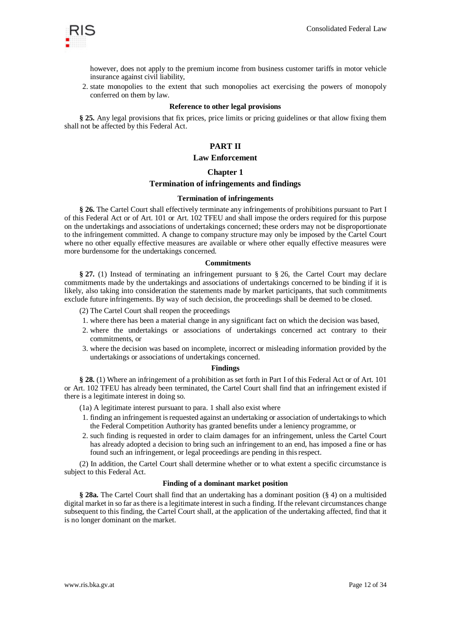

however, does not apply to the premium income from business customer tariffs in motor vehicle insurance against civil liability,

2. state monopolies to the extent that such monopolies act exercising the powers of monopoly conferred on them by law.

#### **Reference to other legal provisions**

**§ 25.** Any legal provisions that fix prices, price limits or pricing guidelines or that allow fixing them shall not be affected by this Federal Act.

## **PART II**

#### **Law Enforcement**

### **Chapter 1**

## **Termination of infringements and findings**

#### **Termination of infringements**

**§ 26.** The Cartel Court shall effectively terminate any infringements of prohibitions pursuant to Part I of this Federal Act or of Art. 101 or Art. 102 TFEU and shall impose the orders required for this purpose on the undertakings and associations of undertakings concerned; these orders may not be disproportionate to the infringement committed. A change to company structure may only be imposed by the Cartel Court where no other equally effective measures are available or where other equally effective measures were more burdensome for the undertakings concerned.

#### **Commitments**

**§ 27.** (1) Instead of terminating an infringement pursuant to § 26, the Cartel Court may declare commitments made by the undertakings and associations of undertakings concerned to be binding if it is likely, also taking into consideration the statements made by market participants, that such commitments exclude future infringements. By way of such decision, the proceedings shall be deemed to be closed.

- (2) The Cartel Court shall reopen the proceedings
- 1. where there has been a material change in any significant fact on which the decision was based,
- 2. where the undertakings or associations of undertakings concerned act contrary to their commitments, or
- 3. where the decision was based on incomplete, incorrect or misleading information provided by the undertakings or associations of undertakings concerned.

#### **Findings**

**§ 28.** (1) Where an infringement of a prohibition as set forth in Part I of this Federal Act or of Art. 101 or Art. 102 TFEU has already been terminated, the Cartel Court shall find that an infringement existed if there is a legitimate interest in doing so.

(1a) A legitimate interest pursuant to para. 1 shall also exist where

- 1. finding an infringement is requested against an undertaking or association of undertakings to which the Federal Competition Authority has granted benefits under a leniency programme, or
- 2. such finding is requested in order to claim damages for an infringement, unless the Cartel Court has already adopted a decision to bring such an infringement to an end, has imposed a fine or has found such an infringement, or legal proceedings are pending in thisrespect.

(2) In addition, the Cartel Court shall determine whether or to what extent a specific circumstance is subject to this Federal Act.

#### **Finding of a dominant market position**

**§ 28a.** The Cartel Court shall find that an undertaking has a dominant position (§ 4) on a multisided digital market in so far as there is a legitimate interest in such a finding. If the relevant circumstances change subsequent to this finding, the Cartel Court shall, at the application of the undertaking affected, find that it is no longer dominant on the market.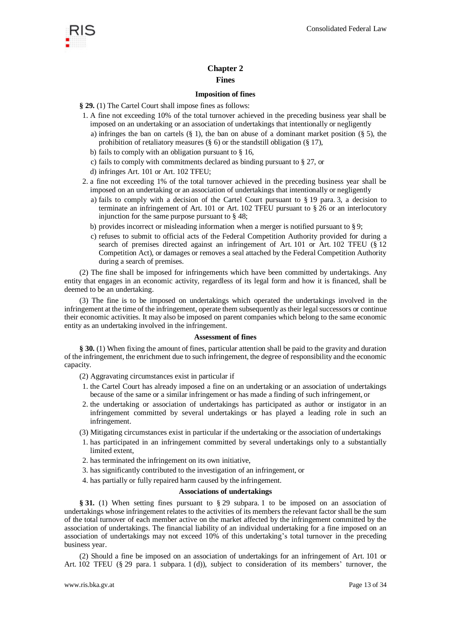

## **Chapter 2 Fines**

## **Imposition of fines**

**§ 29.** (1) The Cartel Court shall impose fines as follows:

- 1. A fine not exceeding 10% of the total turnover achieved in the preceding business year shall be imposed on an undertaking or an association of undertakings that intentionally or negligently
	- a) infringes the ban on cartels  $(\S 1)$ , the ban on abuse of a dominant market position  $(\S 5)$ , the prohibition of retaliatory measures (§ 6) or the standstill obligation (§ 17),
	- b) fails to comply with an obligation pursuant to § 16,
	- c) fails to comply with commitments declared as binding pursuant to § 27, or
	- d) infringes Art. 101 or Art. 102 TFEU;
- 2. a fine not exceeding 1% of the total turnover achieved in the preceding business year shall be imposed on an undertaking or an association of undertakings that intentionally or negligently
	- a) fails to comply with a decision of the Cartel Court pursuant to  $\S$  19 para. 3, a decision to terminate an infringement of Art. 101 or Art. 102 TFEU pursuant to § 26 or an interlocutory injunction for the same purpose pursuant to § 48;
	- b) provides incorrect or misleading information when a merger is notified pursuant to § 9;
	- c) refuses to submit to official acts of the Federal Competition Authority provided for during a search of premises directed against an infringement of Art. 101 or Art. 102 TFEU (§ 12 Competition Act), or damages or removes a seal attached by the Federal Competition Authority during a search of premises.

(2) The fine shall be imposed for infringements which have been committed by undertakings. Any entity that engages in an economic activity, regardless of its legal form and how it is financed, shall be deemed to be an undertaking.

(3) The fine is to be imposed on undertakings which operated the undertakings involved in the infringement at the time of the infringement, operate them subsequently as their legal successors or continue their economic activities. It may also be imposed on parent companies which belong to the same economic entity as an undertaking involved in the infringement.

### **Assessment of fines**

**§ 30.** (1) When fixing the amount of fines, particular attention shall be paid to the gravity and duration of the infringement, the enrichment due to such infringement, the degree of responsibility and the economic capacity.

(2) Aggravating circumstances exist in particular if

- 1. the Cartel Court has already imposed a fine on an undertaking or an association of undertakings because of the same or a similar infringement or has made a finding of such infringement, or
- 2. the undertaking or association of undertakings has participated as author or instigator in an infringement committed by several undertakings or has played a leading role in such an infringement.
- (3) Mitigating circumstances exist in particular if the undertaking or the association of undertakings
- 1. has participated in an infringement committed by several undertakings only to a substantially limited extent,
- 2. has terminated the infringement on its own initiative,
- 3. has significantly contributed to the investigation of an infringement, or
- 4. has partially or fully repaired harm caused by the infringement.

#### **Associations of undertakings**

**§ 31.** (1) When setting fines pursuant to § 29 subpara. 1 to be imposed on an association of undertakings whose infringement relates to the activities of its members the relevant factor shall be the sum of the total turnover of each member active on the market affected by the infringement committed by the association of undertakings. The financial liability of an individual undertaking for a fine imposed on an association of undertakings may not exceed 10% of this undertaking's total turnover in the preceding business year.

(2) Should a fine be imposed on an association of undertakings for an infringement of Art. 101 or Art. 102 TFEU (§ 29 para. 1 subpara. 1 (d)), subject to consideration of its members' turnover, the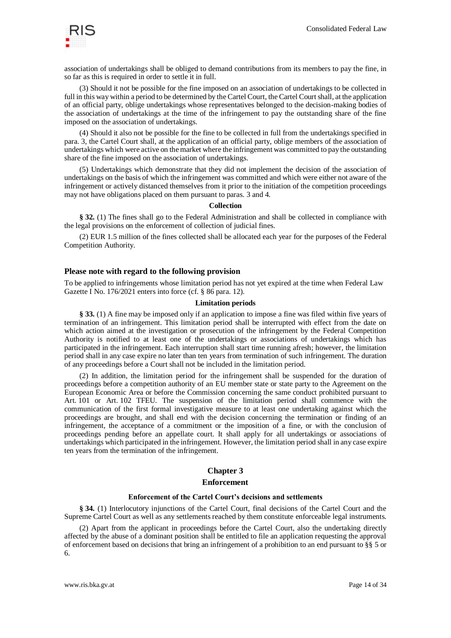

association of undertakings shall be obliged to demand contributions from its members to pay the fine, in so far as this is required in order to settle it in full.

(3) Should it not be possible for the fine imposed on an association of undertakings to be collected in full in this way within a period to be determined by the Cartel Court, the Cartel Court shall, at the application of an official party, oblige undertakings whose representatives belonged to the decision-making bodies of the association of undertakings at the time of the infringement to pay the outstanding share of the fine imposed on the association of undertakings.

(4) Should it also not be possible for the fine to be collected in full from the undertakings specified in para. 3, the Cartel Court shall, at the application of an official party, oblige members of the association of undertakings which were active on the market where the infringement was committed to pay the outstanding share of the fine imposed on the association of undertakings.

(5) Undertakings which demonstrate that they did not implement the decision of the association of undertakings on the basis of which the infringement was committed and which were either not aware of the infringement or actively distanced themselves from it prior to the initiation of the competition proceedings may not have obligations placed on them pursuant to paras. 3 and 4.

#### **Collection**

**§ 32.** (1) The fines shall go to the Federal Administration and shall be collected in compliance with the legal provisions on the enforcement of collection of judicial fines.

(2) EUR 1.5 million of the fines collected shall be allocated each year for the purposes of the Federal Competition Authority.

## **Please note with regard to the following provision**

To be applied to infringements whose limitation period has not yet expired at the time when Federal Law Gazette I No. 176/2021 enters into force (cf. § 86 para. 12).

#### **Limitation periods**

**§ 33.** (1) A fine may be imposed only if an application to impose a fine was filed within five years of termination of an infringement. This limitation period shall be interrupted with effect from the date on which action aimed at the investigation or prosecution of the infringement by the Federal Competition Authority is notified to at least one of the undertakings or associations of undertakings which has participated in the infringement. Each interruption shall start time running afresh; however, the limitation period shall in any case expire no later than ten years from termination of such infringement. The duration of any proceedings before a Court shall not be included in the limitation period.

(2) In addition, the limitation period for the infringement shall be suspended for the duration of proceedings before a competition authority of an EU member state or state party to the Agreement on the European Economic Area or before the Commission concerning the same conduct prohibited pursuant to Art. 101 or Art. 102 TFEU. The suspension of the limitation period shall commence with the communication of the first formal investigative measure to at least one undertaking against which the proceedings are brought, and shall end with the decision concerning the termination or finding of an infringement, the acceptance of a commitment or the imposition of a fine, or with the conclusion of proceedings pending before an appellate court. It shall apply for all undertakings or associations of undertakings which participated in the infringement. However, the limitation period shall in any case expire ten years from the termination of the infringement.

## **Chapter 3**

#### **Enforcement**

#### **Enforcement of the Cartel Court's decisions and settlements**

**§ 34.** (1) Interlocutory injunctions of the Cartel Court, final decisions of the Cartel Court and the Supreme Cartel Court as well as any settlements reached by them constitute enforceable legal instruments.

(2) Apart from the applicant in proceedings before the Cartel Court, also the undertaking directly affected by the abuse of a dominant position shall be entitled to file an application requesting the approval of enforcement based on decisions that bring an infringement of a prohibition to an end pursuant to §§ 5 or 6.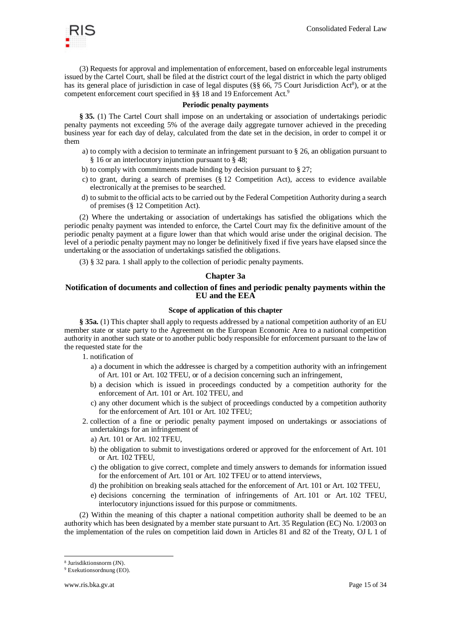

(3) Requests for approval and implementation of enforcement, based on enforceable legal instruments issued by the Cartel Court, shall be filed at the district court of the legal district in which the party obliged has its general place of jurisdiction in case of legal disputes (§§ 66, 75 Court Jurisdiction Act<sup>8</sup>), or at the competent enforcement court specified in §§ 18 and 19 Enforcement Act.<sup>9</sup>

#### **Periodic penalty payments**

**§ 35.** (1) The Cartel Court shall impose on an undertaking or association of undertakings periodic penalty payments not exceeding 5% of the average daily aggregate turnover achieved in the preceding business year for each day of delay, calculated from the date set in the decision, in order to compel it or them

- a) to comply with a decision to terminate an infringement pursuant to § 26, an obligation pursuant to § 16 or an interlocutory injunction pursuant to § 48;
- b) to comply with commitments made binding by decision pursuant to § 27;
- c) to grant, during a search of premises  $(\S 12)$  Competition Act), access to evidence available electronically at the premises to be searched.
- d) to submit to the official acts to be carried out by the Federal Competition Authority during a search of premises (§ 12 Competition Act).

(2) Where the undertaking or association of undertakings has satisfied the obligations which the periodic penalty payment was intended to enforce, the Cartel Court may fix the definitive amount of the periodic penalty payment at a figure lower than that which would arise under the original decision. The level of a periodic penalty payment may no longer be definitively fixed if five years have elapsed since the undertaking or the association of undertakings satisfied the obligations.

(3) § 32 para. 1 shall apply to the collection of periodic penalty payments.

### **Chapter 3a**

## **Notification of documents and collection of fines and periodic penalty payments within the EU and the EEA**

## **Scope of application of this chapter**

**§ 35a.** (1) This chapter shall apply to requests addressed by a national competition authority of an EU member state or state party to the Agreement on the European Economic Area to a national competition authority in another such state or to another public body responsible for enforcement pursuant to the law of the requested state for the

1. notification of

- a) a document in which the addressee is charged by a competition authority with an infringement of Art. 101 or Art. 102 TFEU, or of a decision concerning such an infringement,
- b) a decision which is issued in proceedings conducted by a competition authority for the enforcement of Art. 101 or Art. 102 TFEU, and
- c) any other document which is the subject of proceedings conducted by a competition authority for the enforcement of Art. 101 or Art. 102 TFEU;
- 2. collection of a fine or periodic penalty payment imposed on undertakings or associations of undertakings for an infringement of
	- a) Art. 101 or Art. 102 TFEU,
	- b) the obligation to submit to investigations ordered or approved for the enforcement of Art. 101 or Art. 102 TFEU,
	- c) the obligation to give correct, complete and timely answers to demands for information issued for the enforcement of Art. 101 or Art. 102 TFEU or to attend interviews,
	- d) the prohibition on breaking seals attached for the enforcement of Art. 101 or Art. 102 TFEU,
	- e) decisions concerning the termination of infringements of Art. 101 or Art. 102 TFEU, interlocutory injunctions issued for this purpose or commitments.

(2) Within the meaning of this chapter a national competition authority shall be deemed to be an authority which has been designated by a member state pursuant to Art. 35 Regulation (EC) No. 1/2003 on the implementation of the rules on competition laid down in Articles 81 and 82 of the Treaty, OJ L 1 of

<sup>8</sup> Jurisdiktionsnorm (JN).

<sup>9</sup> Exekutionsordnung (EO).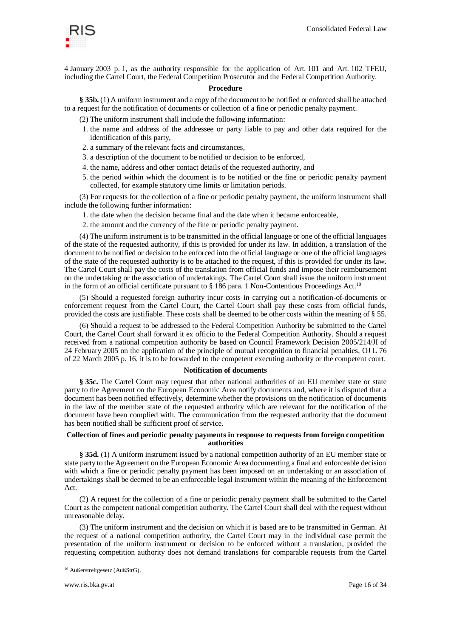

4 January 2003 p. 1, as the authority responsible for the application of Art. 101 and Art. 102 TFEU, including the Cartel Court, the Federal Competition Prosecutor and the Federal Competition Authority.

#### **Procedure**

**§ 35b.** (1) A uniform instrument and a copy of the document to be notified or enforced shall be attached to a request for the notification of documents or collection of a fine or periodic penalty payment.

(2) The uniform instrument shall include the following information:

- 1. the name and address of the addressee or party liable to pay and other data required for the identification of this party,
- 2. a summary of the relevant facts and circumstances,
- 3. a description of the document to be notified or decision to be enforced,
- 4. the name, address and other contact details of the requested authority, and
- 5. the period within which the document is to be notified or the fine or periodic penalty payment collected, for example statutory time limits or limitation periods.

(3) For requests for the collection of a fine or periodic penalty payment, the uniform instrument shall include the following further information:

- 1. the date when the decision became final and the date when it became enforceable,
- 2. the amount and the currency of the fine or periodic penalty payment.

(4) The uniform instrument is to be transmitted in the official language or one of the official languages of the state of the requested authority, if this is provided for under its law. In addition, a translation of the document to be notified or decision to be enforced into the official language or one of the official languages of the state of the requested authority is to be attached to the request, if this is provided for under its law. The Cartel Court shall pay the costs of the translation from official funds and impose their reimbursement on the undertaking or the association of undertakings. The Cartel Court shall issue the uniform instrument in the form of an official certificate pursuant to  $\S 186$  para. 1 Non-Contentious Proceedings Act.<sup>10</sup>

(5) Should a requested foreign authority incur costs in carrying out a notification-of-documents or enforcement request from the Cartel Court, the Cartel Court shall pay these costs from official funds, provided the costs are justifiable. These costs shall be deemed to be other costs within the meaning of § 55.

(6) Should a request to be addressed to the Federal Competition Authority be submitted to the Cartel Court, the Cartel Court shall forward it ex officio to the Federal Competition Authority. Should a request received from a national competition authority be based on Council Framework Decision 2005/214/JI of 24 February 2005 on the application of the principle of mutual recognition to financial penalties, OJ L 76 of 22 March 2005 p. 16, it is to be forwarded to the competent executing authority or the competent court.

#### **Notification of documents**

**§ 35c.** The Cartel Court may request that other national authorities of an EU member state or state party to the Agreement on the European Economic Area notify documents and, where it is disputed that a document has been notified effectively, determine whether the provisions on the notification of documents in the law of the member state of the requested authority which are relevant for the notification of the document have been complied with. The communication from the requested authority that the document has been notified shall be sufficient proof of service.

#### **Collection of fines and periodic penalty payments in response to requests from foreign competition authorities**

**§ 35d.** (1) A uniform instrument issued by a national competition authority of an EU member state or state party to the Agreement on the European Economic Area documenting a final and enforceable decision with which a fine or periodic penalty payment has been imposed on an undertaking or an association of undertakings shall be deemed to be an enforceable legal instrument within the meaning of the Enforcement Act.

(2) A request for the collection of a fine or periodic penalty payment shall be submitted to the Cartel Court as the competent national competition authority. The Cartel Court shall deal with the request without unreasonable delay.

(3) The uniform instrument and the decision on which it is based are to be transmitted in German. At the request of a national competition authority, the Cartel Court may in the individual case permit the presentation of the uniform instrument or decision to be enforced without a translation, provided the requesting competition authority does not demand translations for comparable requests from the Cartel

<sup>10</sup> Außerstreitgesetz (AußStrG).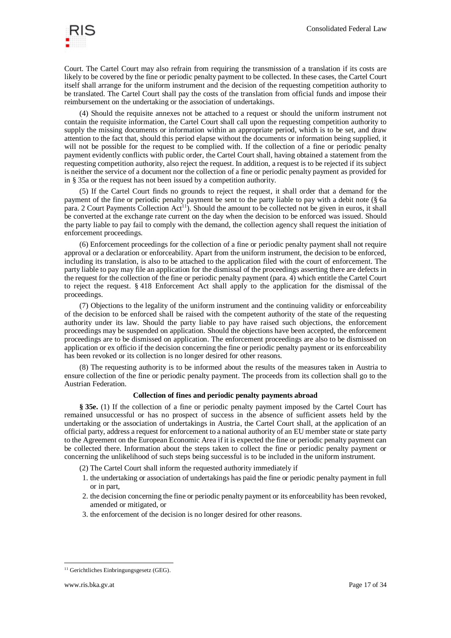

Court. The Cartel Court may also refrain from requiring the transmission of a translation if its costs are likely to be covered by the fine or periodic penalty payment to be collected. In these cases, the Cartel Court itself shall arrange for the uniform instrument and the decision of the requesting competition authority to be translated. The Cartel Court shall pay the costs of the translation from official funds and impose their reimbursement on the undertaking or the association of undertakings.

(4) Should the requisite annexes not be attached to a request or should the uniform instrument not contain the requisite information, the Cartel Court shall call upon the requesting competition authority to supply the missing documents or information within an appropriate period, which is to be set, and draw attention to the fact that, should this period elapse without the documents or information being supplied, it will not be possible for the request to be complied with. If the collection of a fine or periodic penalty payment evidently conflicts with public order, the Cartel Court shall, having obtained a statement from the requesting competition authority, also reject the request. In addition, a request is to be rejected if its subject is neither the service of a document nor the collection of a fine or periodic penalty payment as provided for in § 35a or the request has not been issued by a competition authority.

(5) If the Cartel Court finds no grounds to reject the request, it shall order that a demand for the payment of the fine or periodic penalty payment be sent to the party liable to pay with a debit note (§ 6a para. 2 Court Payments Collection Act<sup>11</sup>). Should the amount to be collected not be given in euros, it shall be converted at the exchange rate current on the day when the decision to be enforced was issued. Should the party liable to pay fail to comply with the demand, the collection agency shall request the initiation of enforcement proceedings.

(6) Enforcement proceedings for the collection of a fine or periodic penalty payment shall not require approval or a declaration or enforceability. Apart from the uniform instrument, the decision to be enforced, including its translation, is also to be attached to the application filed with the court of enforcement. The party liable to pay may file an application for the dismissal of the proceedings asserting there are defects in the request for the collection of the fine or periodic penalty payment (para. 4) which entitle the Cartel Court to reject the request. § 418 Enforcement Act shall apply to the application for the dismissal of the proceedings.

(7) Objections to the legality of the uniform instrument and the continuing validity or enforceability of the decision to be enforced shall be raised with the competent authority of the state of the requesting authority under its law. Should the party liable to pay have raised such objections, the enforcement proceedings may be suspended on application. Should the objections have been accepted, the enforcement proceedings are to be dismissed on application. The enforcement proceedings are also to be dismissed on application or ex officio if the decision concerning the fine or periodic penalty payment or its enforceability has been revoked or its collection is no longer desired for other reasons.

(8) The requesting authority is to be informed about the results of the measures taken in Austria to ensure collection of the fine or periodic penalty payment. The proceeds from its collection shall go to the Austrian Federation.

#### **Collection of fines and periodic penalty payments abroad**

**§ 35e.** (1) If the collection of a fine or periodic penalty payment imposed by the Cartel Court has remained unsuccessful or has no prospect of success in the absence of sufficient assets held by the undertaking or the association of undertakings in Austria, the Cartel Court shall, at the application of an official party, address a request for enforcement to a national authority of an EU member state or state party to the Agreement on the European Economic Area if it is expected the fine or periodic penalty payment can be collected there. Information about the steps taken to collect the fine or periodic penalty payment or concerning the unlikelihood of such steps being successful is to be included in the uniform instrument.

(2) The Cartel Court shall inform the requested authority immediately if

- 1. the undertaking or association of undertakings has paid the fine or periodic penalty payment in full or in part,
- 2. the decision concerning the fine or periodic penalty payment or its enforceability has been revoked, amended or mitigated, or
- 3. the enforcement of the decision is no longer desired for other reasons.

<sup>11</sup> Gerichtliches Einbringungsgesetz (GEG).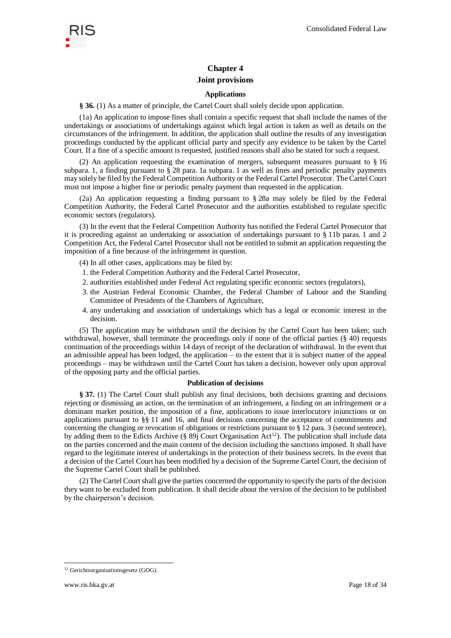## **Chapter 4 Joint provisions**

## **Applications**

**§ 36.** (1) As a matter of principle, the Cartel Court shall solely decide upon application.

(1a) An application to impose fines shall contain a specific request that shall include the names of the undertakings or associations of undertakings against which legal action is taken as well as details on the circumstances of the infringement. In addition, the application shall outline the results of any investigation proceedings conducted by the applicant official party and specify any evidence to be taken by the Cartel Court. If a fine of a specific amount is requested, justified reasons shall also be stated for such a request.

(2) An application requesting the examination of mergers, subsequent measures pursuant to § 16 subpara. 1, a finding pursuant to § 28 para. 1a subpara. 1 as well as fines and periodic penalty payments may solely be filed by the Federal Competition Authority or the Federal Cartel Prosecutor. The Cartel Court must not impose a higher fine or periodic penalty payment than requested in the application.

(2a) An application requesting a finding pursuant to § 28a may solely be filed by the Federal Competition Authority, the Federal Cartel Prosecutor and the authorities established to regulate specific economic sectors (regulators).

(3) In the event that the Federal Competition Authority has notified the Federal Cartel Prosecutor that it is proceeding against an undertaking or association of undertakings pursuant to § 11b paras. 1 and 2 Competition Act, the Federal Cartel Prosecutor shall not be entitled to submit an application requesting the imposition of a fine because of the infringement in question.

- (4) In all other cases, applications may be filed by:
- 1. the Federal Competition Authority and the Federal Cartel Prosecutor,
- 2. authorities established under Federal Act regulating specific economic sectors (regulators),
- 3. the Austrian Federal Economic Chamber, the Federal Chamber of Labour and the Standing Committee of Presidents of the Chambers of Agriculture,
- 4. any undertaking and association of undertakings which has a legal or economic interest in the decision.

(5) The application may be withdrawn until the decision by the Cartel Court has been taken; such withdrawal, however, shall terminate the proceedings only if none of the official parties (§ 40) requests continuation of the proceedings within 14 days of receipt of the declaration of withdrawal. In the event that an admissible appeal has been lodged, the application  $-$  to the extent that it is subject matter of the appeal proceedings – may be withdrawn until the Cartel Court has taken a decision, however only upon approval of the opposing party and the official parties.

#### **Publication of decisions**

**§ 37.** (1) The Cartel Court shall publish any final decisions, both decisions granting and decisions rejecting or dismissing an action, on the termination of an infringement, a finding on an infringement or a dominant market position, the imposition of a fine, applications to issue interlocutory injunctions or on applications pursuant to §§ 11 and 16, and final decisions concerning the acceptance of commitments and concerning the changing or revocation of obligations or restrictions pursuant to § 12 para. 3 (second sentence), by adding them to the Edicts Archive (§ 89j Court Organisation  $\text{Act}^{12}$ ). The publication shall include data on the parties concerned and the main content of the decision including the sanctions imposed. It shall have regard to the legitimate interest of undertakings in the protection of their business secrets. In the event that a decision of the Cartel Court has been modified by a decision of the Supreme Cartel Court, the decision of the Supreme Cartel Court shall be published.

(2) The Cartel Court shall give the parties concerned the opportunity to specify the parts of the decision they want to be excluded from publication. It shall decide about the version of the decision to be published by the chairperson's decision.

<sup>12</sup> Gerichtsorganisationsgesetz (GOG).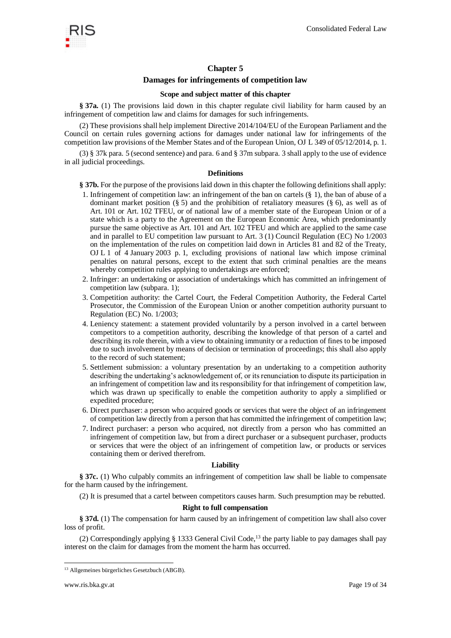

## **Chapter 5**

## **Damages for infringements of competition law**

#### **Scope and subject matter of this chapter**

**§ 37a.** (1) The provisions laid down in this chapter regulate civil liability for harm caused by an infringement of competition law and claims for damages for such infringements.

(2) These provisions shall help implement Directive 2014/104/EU of the European Parliament and the Council on certain rules governing actions for damages under national law for infringements of the competition law provisions of the Member States and of the European Union, OJ L 349 of 05/12/2014, p. 1.

(3) § 37k para. 5 (second sentence) and para. 6 and § 37m subpara. 3 shall apply to the use of evidence in all judicial proceedings.

#### **Definitions**

- **§ 37b.** For the purpose of the provisions laid down in this chapter the following definitions shall apply:
- 1. Infringement of competition law: an infringement of the ban on cartels (§ 1), the ban of abuse of a dominant market position  $(\S 5)$  and the prohibition of retaliatory measures  $(\S 6)$ , as well as of Art. 101 or Art. 102 TFEU, or of national law of a member state of the European Union or of a state which is a party to the Agreement on the European Economic Area, which predominantly pursue the same objective as Art. 101 and Art. 102 TFEU and which are applied to the same case and in parallel to EU competition law pursuant to Art. 3 (1) Council Regulation (EC) No 1/2003 on the implementation of the rules on competition laid down in Articles 81 and 82 of the Treaty, OJ L 1 of 4 January 2003 p. 1, excluding provisions of national law which impose criminal penalties on natural persons, except to the extent that such criminal penalties are the means whereby competition rules applying to undertakings are enforced;
- 2. Infringer: an undertaking or association of undertakings which has committed an infringement of competition law (subpara. 1);
- 3. Competition authority: the Cartel Court, the Federal Competition Authority, the Federal Cartel Prosecutor, the Commission of the European Union or another competition authority pursuant to Regulation (EC) No. 1/2003;
- 4. Leniency statement: a statement provided voluntarily by a person involved in a cartel between competitors to a competition authority, describing the knowledge of that person of a cartel and describing its role therein, with a view to obtaining immunity or a reduction of fines to be imposed due to such involvement by means of decision or termination of proceedings; this shall also apply to the record of such statement;
- 5. Settlement submission: a voluntary presentation by an undertaking to a competition authority describing the undertaking's acknowledgement of, or its renunciation to dispute its participation in an infringement of competition law and its responsibility for that infringement of competition law, which was drawn up specifically to enable the competition authority to apply a simplified or expedited procedure;
- 6. Direct purchaser: a person who acquired goods or services that were the object of an infringement of competition law directly from a person that has committed the infringement of competition law;
- 7. Indirect purchaser: a person who acquired, not directly from a person who has committed an infringement of competition law, but from a direct purchaser or a subsequent purchaser, products or services that were the object of an infringement of competition law, or products or services containing them or derived therefrom.

#### **Liability**

**§ 37c.** (1) Who culpably commits an infringement of competition law shall be liable to compensate for the harm caused by the infringement.

(2) It is presumed that a cartel between competitors causes harm. Such presumption may be rebutted.

#### **Right to full compensation**

**§ 37d.** (1) The compensation for harm caused by an infringement of competition law shall also cover loss of profit.

(2) Correspondingly applying  $\S$  1333 General Civil Code,<sup>13</sup> the party liable to pay damages shall pay interest on the claim for damages from the moment the harm has occurred.

<sup>13</sup> Allgemeines bürgerliches Gesetzbuch (ABGB).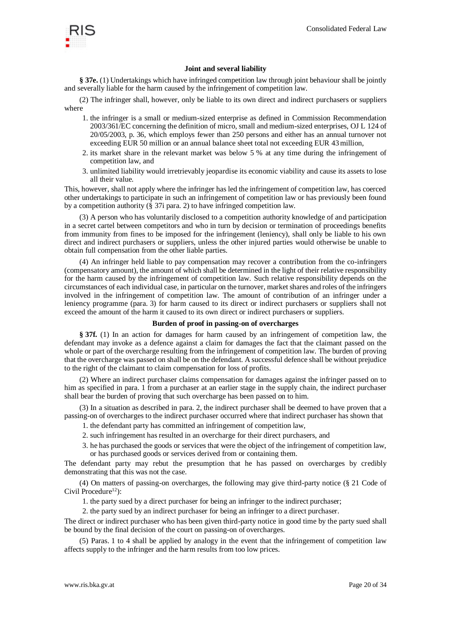

## **Joint and several liability**

**§ 37e.** (1) Undertakings which have infringed competition law through joint behaviour shall be jointly and severally liable for the harm caused by the infringement of competition law.

(2) The infringer shall, however, only be liable to its own direct and indirect purchasers or suppliers where

- 1. the infringer is a small or medium-sized enterprise as defined in Commission Recommendation 2003/361/EC concerning the definition of micro, small and medium-sized enterprises, OJ L 124 of 20/05/2003, p. 36, which employs fewer than 250 persons and either has an annual turnover not exceeding EUR 50 million or an annual balance sheet total not exceeding EUR 43million,
- 2. its market share in the relevant market was below 5 % at any time during the infringement of competition law, and
- 3. unlimited liability would irretrievably jeopardise its economic viability and cause its assets to lose all their value.

This, however, shall not apply where the infringer has led the infringement of competition law, has coerced other undertakings to participate in such an infringement of competition law or has previously been found by a competition authority (§ 37i para. 2) to have infringed competition law.

(3) A person who has voluntarily disclosed to a competition authority knowledge of and participation in a secret cartel between competitors and who in turn by decision or termination of proceedings benefits from immunity from fines to be imposed for the infringement (leniency), shall only be liable to his own direct and indirect purchasers or suppliers, unless the other injured parties would otherwise be unable to obtain full compensation from the other liable parties.

(4) An infringer held liable to pay compensation may recover a contribution from the co-infringers (compensatory amount), the amount of which shall be determined in the light of their relative responsibility for the harm caused by the infringement of competition law. Such relative responsibility depends on the circumstances of each individual case, in particular on the turnover, market shares and roles of the infringers involved in the infringement of competition law. The amount of contribution of an infringer under a leniency programme (para. 3) for harm caused to its direct or indirect purchasers or suppliers shall not exceed the amount of the harm it caused to its own direct or indirect purchasers or suppliers.

#### **Burden of proof in passing-on of overcharges**

**§ 37f.** (1) In an action for damages for harm caused by an infringement of competition law, the defendant may invoke as a defence against a claim for damages the fact that the claimant passed on the whole or part of the overcharge resulting from the infringement of competition law. The burden of proving that the overcharge was passed on shall be on the defendant. A successful defence shall be without prejudice to the right of the claimant to claim compensation for loss of profits.

(2) Where an indirect purchaser claims compensation for damages against the infringer passed on to him as specified in para. 1 from a purchaser at an earlier stage in the supply chain, the indirect purchaser shall bear the burden of proving that such overcharge has been passed on to him.

(3) In a situation as described in para. 2, the indirect purchaser shall be deemed to have proven that a passing-on of overcharges to the indirect purchaser occurred where that indirect purchaser has shown that

- 1. the defendant party has committed an infringement of competition law,
- 2. such infringement has resulted in an overcharge for their direct purchasers, and
- 3. he has purchased the goods or services that were the object of the infringement of competition law, or has purchased goods or services derived from or containing them.

The defendant party may rebut the presumption that he has passed on overcharges by credibly demonstrating that this was not the case.

(4) On matters of passing-on overcharges, the following may give third-party notice (§ 21 Code of Civil Procedure<sup>12</sup>):

1. the party sued by a direct purchaser for being an infringer to the indirect purchaser;

2. the party sued by an indirect purchaser for being an infringer to a direct purchaser.

The direct or indirect purchaser who has been given third-party notice in good time by the party sued shall be bound by the final decision of the court on passing-on of overcharges.

(5) Paras. 1 to 4 shall be applied by analogy in the event that the infringement of competition law affects supply to the infringer and the harm results from too low prices.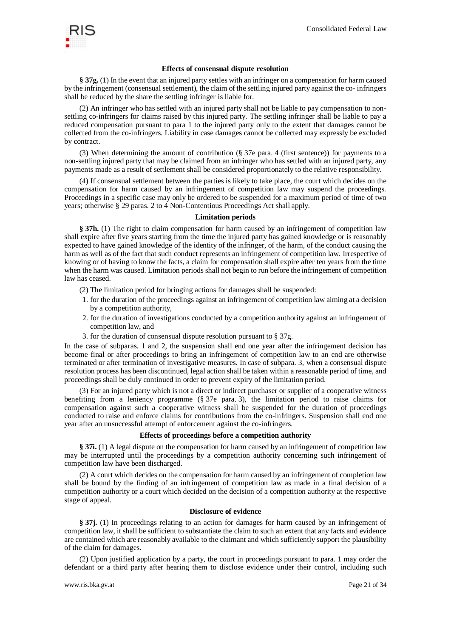

## **Effects of consensual dispute resolution**

**§ 37g.** (1) In the event that an injured party settles with an infringer on a compensation for harm caused by the infringement (consensual settlement), the claim of the settling injured party against the co- infringers shall be reduced by the share the settling infringer is liable for.

(2) An infringer who has settled with an injured party shall not be liable to pay compensation to nonsettling co-infringers for claims raised by this injured party. The settling infringer shall be liable to pay a reduced compensation pursuant to para 1 to the injured party only to the extent that damages cannot be collected from the co-infringers. Liability in case damages cannot be collected may expressly be excluded by contract.

(3) When determining the amount of contribution (§ 37e para. 4 (first sentence)) for payments to a non-settling injured party that may be claimed from an infringer who has settled with an injured party, any payments made as a result of settlement shall be considered proportionately to the relative responsibility.

(4) If consensual settlement between the parties is likely to take place, the court which decides on the compensation for harm caused by an infringement of competition law may suspend the proceedings. Proceedings in a specific case may only be ordered to be suspended for a maximum period of time of two years; otherwise § 29 paras. 2 to 4 Non-Contentious Proceedings Act shall apply.

#### **Limitation periods**

**§ 37h.** (1) The right to claim compensation for harm caused by an infringement of competition law shall expire after five years starting from the time the injured party has gained knowledge or is reasonably expected to have gained knowledge of the identity of the infringer, of the harm, of the conduct causing the harm as well as of the fact that such conduct represents an infringement of competition law. Irrespective of knowing or of having to know the facts, a claim for compensation shall expire after ten years from the time when the harm was caused. Limitation periods shall not begin to run before the infringement of competition law has ceased.

- (2) The limitation period for bringing actions for damages shall be suspended:
- 1. for the duration of the proceedings against an infringement of competition law aiming at a decision by a competition authority,
- 2. for the duration of investigations conducted by a competition authority against an infringement of competition law, and
- 3. for the duration of consensual dispute resolution pursuant to § 37g.

In the case of subparas. 1 and 2, the suspension shall end one year after the infringement decision has become final or after proceedings to bring an infringement of competition law to an end are otherwise terminated or after termination of investigative measures. In case of subpara. 3, when a consensual dispute resolution process has been discontinued, legal action shall be taken within a reasonable period of time, and proceedings shall be duly continued in order to prevent expiry of the limitation period.

(3) For an injured party which is not a direct or indirect purchaser or supplier of a cooperative witness benefiting from a leniency programme (§ 37e para. 3), the limitation period to raise claims for compensation against such a cooperative witness shall be suspended for the duration of proceedings conducted to raise and enforce claims for contributions from the co-infringers. Suspension shall end one year after an unsuccessful attempt of enforcement against the co-infringers.

#### **Effects of proceedings before a competition authority**

**§ 37i.** (1) A legal dispute on the compensation for harm caused by an infringement of competition law may be interrupted until the proceedings by a competition authority concerning such infringement of competition law have been discharged.

(2) A court which decides on the compensation for harm caused by an infringement of completion law shall be bound by the finding of an infringement of competition law as made in a final decision of a competition authority or a court which decided on the decision of a competition authority at the respective stage of appeal.

#### **Disclosure of evidence**

**§ 37j.** (1) In proceedings relating to an action for damages for harm caused by an infringement of competition law, it shall be sufficient to substantiate the claim to such an extent that any facts and evidence are contained which are reasonably available to the claimant and which sufficiently support the plausibility of the claim for damages.

(2) Upon justified application by a party, the court in proceedings pursuant to para. 1 may order the defendant or a third party after hearing them to disclose evidence under their control, including such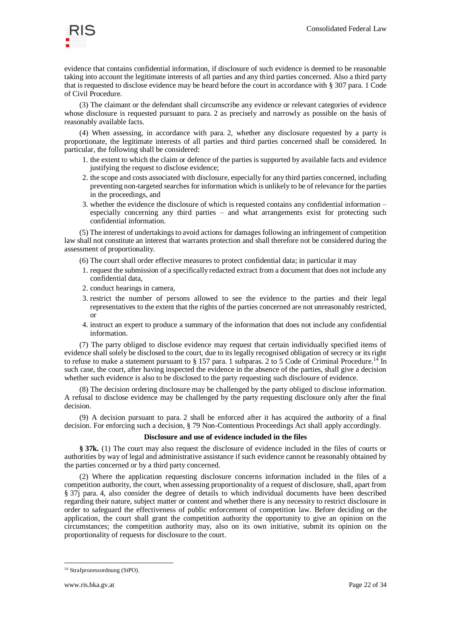

evidence that contains confidential information, if disclosure of such evidence is deemed to be reasonable taking into account the legitimate interests of all parties and any third parties concerned. Also a third party that is requested to disclose evidence may be heard before the court in accordance with § 307 para. 1 Code of Civil Procedure.

(3) The claimant or the defendant shall circumscribe any evidence or relevant categories of evidence whose disclosure is requested pursuant to para. 2 as precisely and narrowly as possible on the basis of reasonably available facts.

(4) When assessing, in accordance with para. 2, whether any disclosure requested by a party is proportionate, the legitimate interests of all parties and third parties concerned shall be considered. In particular, the following shall be considered:

- 1. the extent to which the claim or defence of the parties is supported by available facts and evidence justifying the request to disclose evidence;
- 2. the scope and costs associated with disclosure, especially for any third parties concerned, including preventing non-targeted searches for information which is unlikely to be of relevance for the parties in the proceedings, and
- 3. whether the evidence the disclosure of which is requested contains any confidential information especially concerning any third parties – and what arrangements exist for protecting such confidential information.

(5) The interest of undertakings to avoid actions for damages following an infringement of competition law shall not constitute an interest that warrants protection and shall therefore not be considered during the assessment of proportionality.

- (6) The court shall order effective measures to protect confidential data; in particular it may
- 1. request the submission of a specifically redacted extract from a document that does not include any confidential data,
- 2. conduct hearings in camera,
- 3. restrict the number of persons allowed to see the evidence to the parties and their legal representatives to the extent that the rights of the parties concerned are not unreasonably restricted, or
- 4. instruct an expert to produce a summary of the information that does not include any confidential information.

(7) The party obliged to disclose evidence may request that certain individually specified items of evidence shall solely be disclosed to the court, due to its legally recognised obligation of secrecy or its right to refuse to make a statement pursuant to  $\S 157$  para. 1 subparas. 2 to 5 Code of Criminal Procedure.<sup>14</sup> In such case, the court, after having inspected the evidence in the absence of the parties, shall give a decision whether such evidence is also to be disclosed to the party requesting such disclosure of evidence.

(8) The decision ordering disclosure may be challenged by the party obliged to disclose information. A refusal to disclose evidence may be challenged by the party requesting disclosure only after the final decision.

(9) A decision pursuant to para. 2 shall be enforced after it has acquired the authority of a final decision. For enforcing such a decision, § 79 Non-Contentious Proceedings Act shall apply accordingly.

## **Disclosure and use of evidence included in the files**

**§ 37k.** (1) The court may also request the disclosure of evidence included in the files of courts or authorities by way of legal and administrative assistance if such evidence cannot be reasonably obtained by the parties concerned or by a third party concerned.

(2) Where the application requesting disclosure concerns information included in the files of a competition authority, the court, when assessing proportionality of a request of disclosure, shall, apart from § 37j para. 4, also consider the degree of details to which individual documents have been described regarding their nature, subject matter or content and whether there is any necessity to restrict disclosure in order to safeguard the effectiveness of public enforcement of competition law. Before deciding on the application, the court shall grant the competition authority the opportunity to give an opinion on the circumstances; the competition authority may, also on its own initiative, submit its opinion on the proportionality of requests for disclosure to the court.

l <sup>14</sup> Strafprozessordnung (StPO).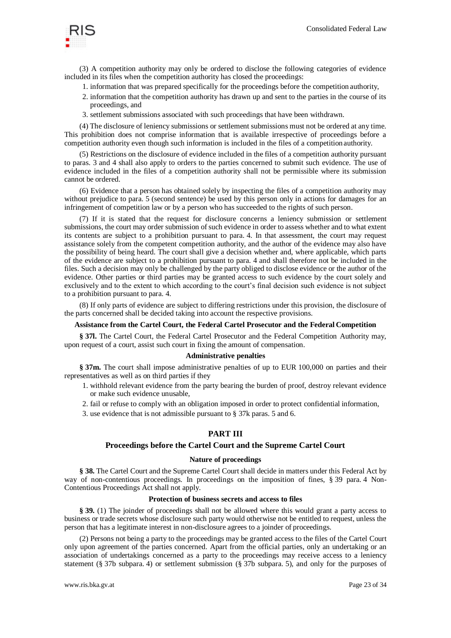

(3) A competition authority may only be ordered to disclose the following categories of evidence included in its files when the competition authority has closed the proceedings:

- 1. information that was prepared specifically for the proceedings before the competition authority,
- 2. information that the competition authority has drawn up and sent to the parties in the course of its proceedings, and
- 3. settlement submissions associated with such proceedings that have been withdrawn.

(4) The disclosure of leniency submissions or settlement submissions must not be ordered at any time. This prohibition does not comprise information that is available irrespective of proceedings before a competition authority even though such information is included in the files of a competition authority.

(5) Restrictions on the disclosure of evidence included in the files of a competition authority pursuant to paras. 3 and 4 shall also apply to orders to the parties concerned to submit such evidence. The use of evidence included in the files of a competition authority shall not be permissible where its submission cannot be ordered.

(6) Evidence that a person has obtained solely by inspecting the files of a competition authority may without prejudice to para. 5 (second sentence) be used by this person only in actions for damages for an infringement of competition law or by a person who has succeeded to the rights of such person.

(7) If it is stated that the request for disclosure concerns a leniency submission or settlement submissions, the court may order submission of such evidence in order to assess whether and to what extent its contents are subject to a prohibition pursuant to para. 4. In that assessment, the court may request assistance solely from the competent competition authority, and the author of the evidence may also have the possibility of being heard. The court shall give a decision whether and, where applicable, which parts of the evidence are subject to a prohibition pursuant to para. 4 and shall therefore not be included in the files. Such a decision may only be challenged by the party obliged to disclose evidence or the author of the evidence. Other parties or third parties may be granted access to such evidence by the court solely and exclusively and to the extent to which according to the court's final decision such evidence is not subject to a prohibition pursuant to para. 4.

(8) If only parts of evidence are subject to differing restrictions under this provision, the disclosure of the parts concerned shall be decided taking into account the respective provisions.

#### **Assistance from the Cartel Court, the Federal Cartel Prosecutor and the Federal Competition**

**§ 37l.** The Cartel Court, the Federal Cartel Prosecutor and the Federal Competition Authority may, upon request of a court, assist such court in fixing the amount of compensation.

#### **Administrative penalties**

**§ 37m.** The court shall impose administrative penalties of up to EUR 100,000 on parties and their representatives as well as on third parties if they

- 1. withhold relevant evidence from the party bearing the burden of proof, destroy relevant evidence or make such evidence unusable,
- 2. fail or refuse to comply with an obligation imposed in order to protect confidential information,
- 3. use evidence that is not admissible pursuant to § 37k paras. 5 and 6.

## **PART III**

#### **Proceedings before the Cartel Court and the Supreme Cartel Court**

#### **Nature of proceedings**

**§ 38.** The Cartel Court and the Supreme Cartel Court shall decide in matters under this Federal Act by way of non-contentious proceedings. In proceedings on the imposition of fines, § 39 para. 4 Non-Contentious Proceedings Act shall not apply.

#### **Protection of business secrets and access to files**

**§ 39.** (1) The joinder of proceedings shall not be allowed where this would grant a party access to business or trade secrets whose disclosure such party would otherwise not be entitled to request, unless the person that has a legitimate interest in non-disclosure agrees to a joinder of proceedings.

(2) Persons not being a party to the proceedings may be granted access to the files of the Cartel Court only upon agreement of the parties concerned. Apart from the official parties, only an undertaking or an association of undertakings concerned as a party to the proceedings may receive access to a leniency statement (§ 37b subpara. 4) or settlement submission (§ 37b subpara. 5), and only for the purposes of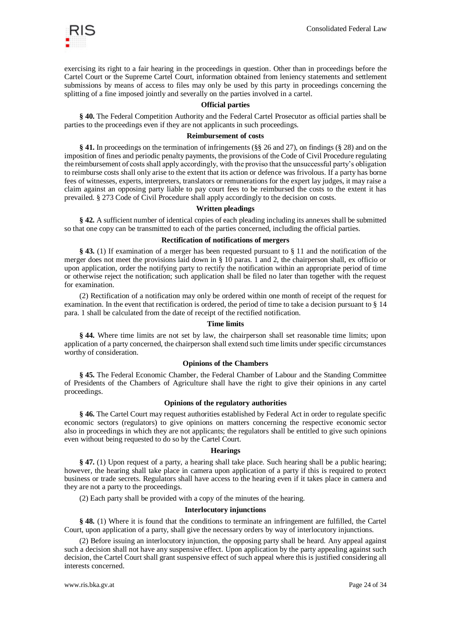

exercising its right to a fair hearing in the proceedings in question. Other than in proceedings before the Cartel Court or the Supreme Cartel Court, information obtained from leniency statements and settlement submissions by means of access to files may only be used by this party in proceedings concerning the splitting of a fine imposed jointly and severally on the parties involved in a cartel.

#### **Official parties**

**§ 40.** The Federal Competition Authority and the Federal Cartel Prosecutor as official parties shall be parties to the proceedings even if they are not applicants in such proceedings.

#### **Reimbursement of costs**

**§ 41.** In proceedings on the termination of infringements (§§ 26 and 27), on findings (§ 28) and on the imposition of fines and periodic penalty payments, the provisions of the Code of Civil Procedure regulating the reimbursement of costs shall apply accordingly, with the proviso that the unsuccessful party's obligation to reimburse costs shall only arise to the extent that its action or defence was frivolous. If a party has borne fees of witnesses, experts, interpreters, translators or remunerations for the expert lay judges, it may raise a claim against an opposing party liable to pay court fees to be reimbursed the costs to the extent it has prevailed. § 273 Code of Civil Procedure shall apply accordingly to the decision on costs.

#### **Written pleadings**

**§ 42.** A sufficient number of identical copies of each pleading including its annexes shall be submitted so that one copy can be transmitted to each of the parties concerned, including the official parties.

#### **Rectification of notifications of mergers**

**§ 43.** (1) If examination of a merger has been requested pursuant to § 11 and the notification of the merger does not meet the provisions laid down in § 10 paras. 1 and 2, the chairperson shall, ex officio or upon application, order the notifying party to rectify the notification within an appropriate period of time or otherwise reject the notification; such application shall be filed no later than together with the request for examination.

(2) Rectification of a notification may only be ordered within one month of receipt of the request for examination. In the event that rectification is ordered, the period of time to take a decision pursuant to § 14 para. 1 shall be calculated from the date of receipt of the rectified notification.

#### **Time limits**

**§ 44.** Where time limits are not set by law, the chairperson shall set reasonable time limits; upon application of a party concerned, the chairperson shall extend such time limits under specific circumstances worthy of consideration.

#### **Opinions of the Chambers**

**§ 45.** The Federal Economic Chamber, the Federal Chamber of Labour and the Standing Committee of Presidents of the Chambers of Agriculture shall have the right to give their opinions in any cartel proceedings.

#### **Opinions of the regulatory authorities**

**§ 46.** The Cartel Court may request authorities established by Federal Act in order to regulate specific economic sectors (regulators) to give opinions on matters concerning the respective economic sector also in proceedings in which they are not applicants; the regulators shall be entitled to give such opinions even without being requested to do so by the Cartel Court.

#### **Hearings**

**§ 47.** (1) Upon request of a party, a hearing shall take place. Such hearing shall be a public hearing; however, the hearing shall take place in camera upon application of a party if this is required to protect business or trade secrets. Regulators shall have access to the hearing even if it takes place in camera and they are not a party to the proceedings.

(2) Each party shall be provided with a copy of the minutes of the hearing.

#### **Interlocutory injunctions**

**§ 48.** (1) Where it is found that the conditions to terminate an infringement are fulfilled, the Cartel Court, upon application of a party, shall give the necessary orders by way of interlocutory injunctions.

(2) Before issuing an interlocutory injunction, the opposing party shall be heard. Any appeal against such a decision shall not have any suspensive effect. Upon application by the party appealing against such decision, the Cartel Court shall grant suspensive effect of such appeal where this is justified considering all interests concerned.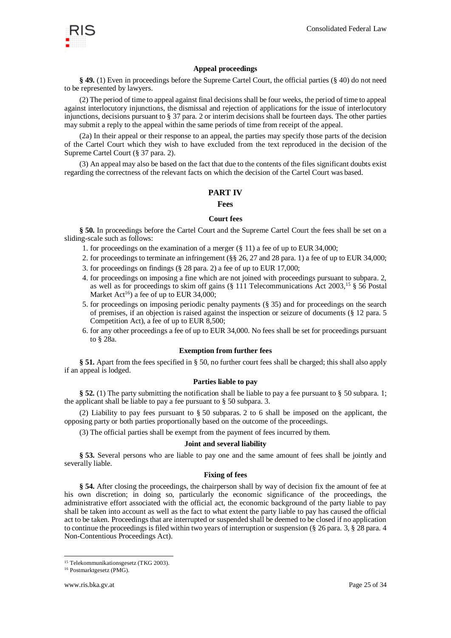

## **Appeal proceedings**

**§ 49.** (1) Even in proceedings before the Supreme Cartel Court, the official parties (§ 40) do not need to be represented by lawyers.

(2) The period of time to appeal against final decisions shall be four weeks, the period of time to appeal against interlocutory injunctions, the dismissal and rejection of applications for the issue of interlocutory injunctions, decisions pursuant to § 37 para. 2 or interim decisions shall be fourteen days. The other parties may submit a reply to the appeal within the same periods of time from receipt of the appeal.

(2a) In their appeal or their response to an appeal, the parties may specify those parts of the decision of the Cartel Court which they wish to have excluded from the text reproduced in the decision of the Supreme Cartel Court (§ 37 para. 2).

(3) An appeal may also be based on the fact that due to the contents of the files significant doubts exist regarding the correctness of the relevant facts on which the decision of the Cartel Court was based.

## **PART IV**

#### **Fees**

#### **Court fees**

**§ 50.** In proceedings before the Cartel Court and the Supreme Cartel Court the fees shall be set on a sliding-scale such as follows:

- 1. for proceedings on the examination of a merger (§ 11) a fee of up to EUR 34,000;
- 2. for proceedings to terminate an infringement (§§ 26, 27 and 28 para. 1) a fee of up to EUR 34,000;
- 3. for proceedings on findings (§ 28 para. 2) a fee of up to EUR 17,000;
- 4. for proceedings on imposing a fine which are not joined with proceedings pursuant to subpara. 2, as well as for proceedings to skim off gains (§ 111 Telecommunications Act 2003,<sup>15</sup> § 56 Postal Market Act<sup>16</sup>) a fee of up to EUR 34,000;
- 5. for proceedings on imposing periodic penalty payments (§ 35) and for proceedings on the search of premises, if an objection is raised against the inspection or seizure of documents (§ 12 para. 5 Competition Act), a fee of up to EUR 8,500;
- 6. for any other proceedings a fee of up to EUR 34,000. No fees shall be set for proceedings pursuant to § 28a.

#### **Exemption from further fees**

**§ 51.** Apart from the fees specified in § 50, no further court fees shall be charged; this shall also apply if an appeal is lodged.

#### **Parties liable to pay**

**§ 52.** (1) The party submitting the notification shall be liable to pay a fee pursuant to § 50 subpara. 1; the applicant shall be liable to pay a fee pursuant to § 50 subpara. 3.

(2) Liability to pay fees pursuant to § 50 subparas. 2 to 6 shall be imposed on the applicant, the opposing party or both parties proportionally based on the outcome of the proceedings.

(3) The official parties shall be exempt from the payment of fees incurred by them.

#### **Joint and several liability**

**§ 53.** Several persons who are liable to pay one and the same amount of fees shall be jointly and severally liable.

#### **Fixing of fees**

**§ 54.** After closing the proceedings, the chairperson shall by way of decision fix the amount of fee at his own discretion; in doing so, particularly the economic significance of the proceedings, the administrative effort associated with the official act, the economic background of the party liable to pay shall be taken into account as well as the fact to what extent the party liable to pay has caused the official act to be taken. Proceedings that are interrupted or suspended shall be deemed to be closed if no application to continue the proceedings is filed within two years of interruption or suspension (§ 26 para. 3, § 28 para. 4 Non-Contentious Proceedings Act).

<sup>15</sup> Telekommunikationsgesetz (TKG 2003).

<sup>16</sup> Postmarktgesetz (PMG).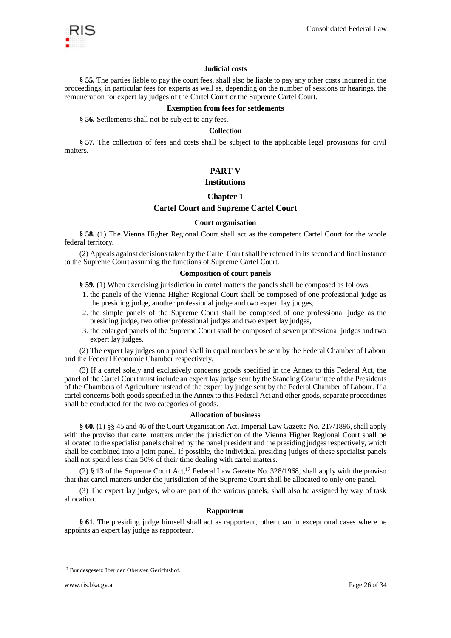

### **Judicial costs**

**§ 55.** The parties liable to pay the court fees, shall also be liable to pay any other costs incurred in the proceedings, in particular fees for experts as well as, depending on the number of sessions or hearings, the remuneration for expert lay judges of the Cartel Court or the Supreme Cartel Court.

#### **Exemption from fees for settlements**

**§ 56.** Settlements shall not be subject to any fees.

#### **Collection**

**§ 57.** The collection of fees and costs shall be subject to the applicable legal provisions for civil matters.

## **PART V**

#### **Institutions**

#### **Chapter 1**

## **Cartel Court and Supreme Cartel Court**

#### **Court organisation**

**§ 58.** (1) The Vienna Higher Regional Court shall act as the competent Cartel Court for the whole federal territory.

(2) Appeals against decisions taken by the Cartel Court shall be referred in its second and final instance to the Supreme Court assuming the functions of Supreme Cartel Court.

#### **Composition of court panels**

**§ 59.** (1) When exercising jurisdiction in cartel matters the panels shall be composed as follows:

- 1. the panels of the Vienna Higher Regional Court shall be composed of one professional judge as the presiding judge, another professional judge and two expert lay judges,
- 2. the simple panels of the Supreme Court shall be composed of one professional judge as the presiding judge, two other professional judges and two expert lay judges,
- 3. the enlarged panels of the Supreme Court shall be composed of seven professional judges and two expert lay judges.

(2) The expert lay judges on a panel shall in equal numbers be sent by the Federal Chamber of Labour and the Federal Economic Chamber respectively.

(3) If a cartel solely and exclusively concerns goods specified in the Annex to this Federal Act, the panel of the Cartel Court must include an expert lay judge sent by the Standing Committee of the Presidents of the Chambers of Agriculture instead of the expert lay judge sent by the Federal Chamber of Labour. If a cartel concerns both goods specified in the Annex to this Federal Act and other goods, separate proceedings shall be conducted for the two categories of goods.

#### **Allocation of business**

**§ 60.** (1) §§ 45 and 46 of the Court Organisation Act, Imperial Law Gazette No. 217/1896, shall apply with the proviso that cartel matters under the jurisdiction of the Vienna Higher Regional Court shall be allocated to the specialist panels chaired by the panel president and the presiding judges respectively, which shall be combined into a joint panel. If possible, the individual presiding judges of these specialist panels shall not spend less than 50% of their time dealing with cartel matters.

(2) § 13 of the Supreme Court Act,<sup>17</sup> Federal Law Gazette No. 328/1968, shall apply with the proviso that that cartel matters under the jurisdiction of the Supreme Court shall be allocated to only one panel.

(3) The expert lay judges, who are part of the various panels, shall also be assigned by way of task allocation.

#### **Rapporteur**

**§ 61.** The presiding judge himself shall act as rapporteur, other than in exceptional cases where he appoints an expert lay judge as rapporteur.

<sup>17</sup> Bundesgesetz über den Obersten Gerichtshof.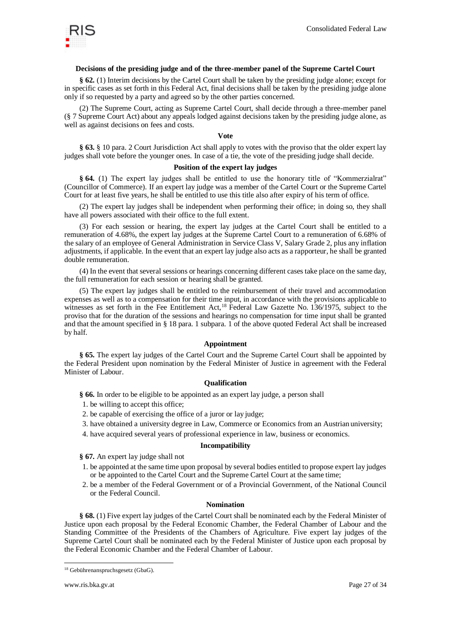

### **Decisions of the presiding judge and of the three-member panel of the Supreme Cartel Court**

**§ 62.** (1) Interim decisions by the Cartel Court shall be taken by the presiding judge alone; except for in specific cases as set forth in this Federal Act, final decisions shall be taken by the presiding judge alone only if so requested by a party and agreed so by the other parties concerned.

(2) The Supreme Court, acting as Supreme Cartel Court, shall decide through a three-member panel (§ 7 Supreme Court Act) about any appeals lodged against decisions taken by the presiding judge alone, as well as against decisions on fees and costs.

#### **Vote**

**§ 63.** § 10 para. 2 Court Jurisdiction Act shall apply to votes with the proviso that the older expert lay judges shall vote before the younger ones. In case of a tie, the vote of the presiding judge shall decide.

#### **Position of the expert lay judges**

**§ 64.** (1) The expert lay judges shall be entitled to use the honorary title of "Kommerzialrat" (Councillor of Commerce). If an expert lay judge was a member of the Cartel Court or the Supreme Cartel Court for at least five years, he shall be entitled to use this title also after expiry of his term of office.

(2) The expert lay judges shall be independent when performing their office; in doing so, they shall have all powers associated with their office to the full extent.

(3) For each session or hearing, the expert lay judges at the Cartel Court shall be entitled to a remuneration of 4.68%, the expert lay judges at the Supreme Cartel Court to a remuneration of 6.68% of the salary of an employee of General Administration in Service Class V, Salary Grade 2, plus any inflation adjustments, if applicable. In the event that an expert lay judge also acts as a rapporteur, he shall be granted double remuneration.

(4) In the event that several sessions or hearings concerning different cases take place on the same day, the full remuneration for each session or hearing shall be granted.

(5) The expert lay judges shall be entitled to the reimbursement of their travel and accommodation expenses as well as to a compensation for their time input, in accordance with the provisions applicable to witnesses as set forth in the Fee Entitlement Act,<sup>18</sup> Federal Law Gazette No. 136/1975, subject to the proviso that for the duration of the sessions and hearings no compensation for time input shall be granted and that the amount specified in § 18 para. 1 subpara. 1 of the above quoted Federal Act shall be increased by half.

#### **Appointment**

**§ 65.** The expert lay judges of the Cartel Court and the Supreme Cartel Court shall be appointed by the Federal President upon nomination by the Federal Minister of Justice in agreement with the Federal Minister of Labour.

#### **Qualification**

**§ 66.** In order to be eligible to be appointed as an expert lay judge, a person shall

- 1. be willing to accept this office;
- 2. be capable of exercising the office of a juror or lay judge;
- 3. have obtained a university degree in Law, Commerce or Economics from an Austrian university;
- 4. have acquired several years of professional experience in law, business or economics.

#### **Incompatibility**

**§ 67.** An expert lay judge shall not

- 1. be appointed at the same time upon proposal by several bodies entitled to propose expert lay judges or be appointed to the Cartel Court and the Supreme Cartel Court at the same time;
- 2. be a member of the Federal Government or of a Provincial Government, of the National Council or the Federal Council.

#### **Nomination**

**§ 68.** (1) Five expert lay judges of the Cartel Court shall be nominated each by the Federal Minister of Justice upon each proposal by the Federal Economic Chamber, the Federal Chamber of Labour and the Standing Committee of the Presidents of the Chambers of Agriculture. Five expert lay judges of the Supreme Cartel Court shall be nominated each by the Federal Minister of Justice upon each proposal by the Federal Economic Chamber and the Federal Chamber of Labour.

<sup>18</sup> Gebührenanspruchsgesetz (GbaG).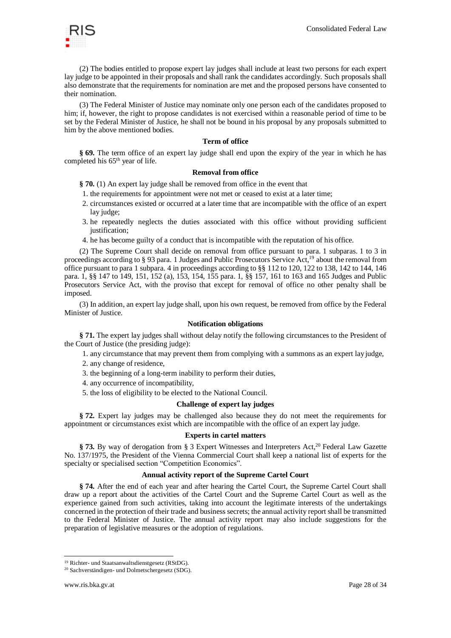

(2) The bodies entitled to propose expert lay judges shall include at least two persons for each expert lay judge to be appointed in their proposals and shall rank the candidates accordingly. Such proposals shall also demonstrate that the requirements for nomination are met and the proposed persons have consented to their nomination.

(3) The Federal Minister of Justice may nominate only one person each of the candidates proposed to him; if, however, the right to propose candidates is not exercised within a reasonable period of time to be set by the Federal Minister of Justice, he shall not be bound in his proposal by any proposals submitted to him by the above mentioned bodies.

### **Term of office**

**§ 69.** The term office of an expert lay judge shall end upon the expiry of the year in which he has completed his 65<sup>th</sup> year of life.

## **Removal from office**

**§ 70.** (1) An expert lay judge shall be removed from office in the event that

- 1. the requirements for appointment were not met or ceased to exist at a later time;
- 2. circumstances existed or occurred at a later time that are incompatible with the office of an expert lay judge;
- 3. he repeatedly neglects the duties associated with this office without providing sufficient justification;
- 4. he has become guilty of a conduct that is incompatible with the reputation of his office.

(2) The Supreme Court shall decide on removal from office pursuant to para. 1 subparas. 1 to 3 in proceedings according to § 93 para. 1 Judges and Public Prosecutors Service Act,<sup>19</sup> about the removal from office pursuant to para 1 subpara. 4 in proceedings according to §§ 112 to 120, 122 to 138, 142 to 144, 146 para. 1, §§ 147 to 149, 151, 152 (a), 153, 154, 155 para. 1, §§ 157, 161 to 163 and 165 Judges and Public Prosecutors Service Act, with the proviso that except for removal of office no other penalty shall be imposed.

(3) In addition, an expert lay judge shall, upon his own request, be removed from office by the Federal Minister of Justice.

#### **Notification obligations**

**§ 71.** The expert lay judges shall without delay notify the following circumstances to the President of the Court of Justice (the presiding judge):

1. any circumstance that may prevent them from complying with a summons as an expert layjudge,

- 2. any change of residence,
- 3. the beginning of a long-term inability to perform their duties,
- 4. any occurrence of incompatibility,
- 5. the loss of eligibility to be elected to the National Council.

## **Challenge of expert lay judges**

**§ 72.** Expert lay judges may be challenged also because they do not meet the requirements for appointment or circumstances exist which are incompatible with the office of an expert lay judge.

#### **Experts in cartel matters**

§ **73.** By way of derogation from § 3 Expert Witnesses and Interpreters Act,<sup>20</sup> Federal Law Gazette No. 137/1975, the President of the Vienna Commercial Court shall keep a national list of experts for the specialty or specialised section "Competition Economics".

#### **Annual activity report of the Supreme Cartel Court**

**§ 74.** After the end of each year and after hearing the Cartel Court, the Supreme Cartel Court shall draw up a report about the activities of the Cartel Court and the Supreme Cartel Court as well as the experience gained from such activities, taking into account the legitimate interests of the undertakings concerned in the protection of their trade and business secrets; the annual activity report shall be transmitted to the Federal Minister of Justice. The annual activity report may also include suggestions for the preparation of legislative measures or the adoption of regulations.

<sup>19</sup> Richter- und Staatsanwaltsdienstgesetz (RStDG).

<sup>20</sup> Sachverständigen- und Dolmetschergesetz (SDG).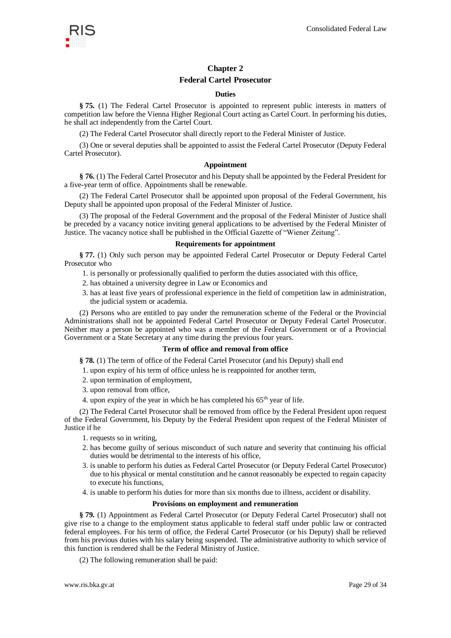

## **Chapter 2**

## **Federal Cartel Prosecutor**

#### **Duties**

**§ 75.** (1) The Federal Cartel Prosecutor is appointed to represent public interests in matters of competition law before the Vienna Higher Regional Court acting as Cartel Court. In performing his duties, he shall act independently from the Cartel Court.

(2) The Federal Cartel Prosecutor shall directly report to the Federal Minister of Justice.

(3) One or several deputies shall be appointed to assist the Federal Cartel Prosecutor (Deputy Federal Cartel Prosecutor).

#### **Appointment**

**§ 76.** (1) The Federal Cartel Prosecutor and his Deputy shall be appointed by the Federal President for a five-year term of office. Appointments shall be renewable.

(2) The Federal Cartel Prosecutor shall be appointed upon proposal of the Federal Government, his Deputy shall be appointed upon proposal of the Federal Minister of Justice.

(3) The proposal of the Federal Government and the proposal of the Federal Minister of Justice shall be preceded by a vacancy notice inviting general applications to be advertised by the Federal Minister of Justice. The vacancy notice shall be published in the Official Gazette of "Wiener Zeitung".

#### **Requirements for appointment**

**§ 77.** (1) Only such person may be appointed Federal Cartel Prosecutor or Deputy Federal Cartel Prosecutor who

- 1. is personally or professionally qualified to perform the duties associated with this office,
- 2. has obtained a university degree in Law or Economics and
- 3. has at least five years of professional experience in the field of competition law in administration, the judicial system or academia.

(2) Persons who are entitled to pay under the remuneration scheme of the Federal or the Provincial Administrations shall not be appointed Federal Cartel Prosecutor or Deputy Federal Cartel Prosecutor. Neither may a person be appointed who was a member of the Federal Government or of a Provincial Government or a State Secretary at any time during the previous four years.

#### **Term of office and removal from office**

**§ 78.** (1) The term of office of the Federal Cartel Prosecutor (and his Deputy) shall end

- 1. upon expiry of his term of office unless he is reappointed for another term,
- 2. upon termination of employment,
- 3. upon removal from office,
- 4. upon expiry of the year in which he has completed his  $65<sup>th</sup>$  year of life.

(2) The Federal Cartel Prosecutor shall be removed from office by the Federal President upon request of the Federal Government, his Deputy by the Federal President upon request of the Federal Minister of Justice if he

- 1. requests so in writing,
- 2. has become guilty of serious misconduct of such nature and severity that continuing his official duties would be detrimental to the interests of his office,
- 3. is unable to perform his duties as Federal Cartel Prosecutor (or Deputy Federal Cartel Prosecutor) due to his physical or mental constitution and he cannot reasonably be expected to regain capacity to execute his functions,
- 4. is unable to perform his duties for more than six months due to illness, accident or disability.

#### **Provisions on employment and remuneration**

**§ 79.** (1) Appointment as Federal Cartel Prosecutor (or Deputy Federal Cartel Prosecutor) shall not give rise to a change to the employment status applicable to federal staff under public law or contracted federal employees. For his term of office, the Federal Cartel Prosecutor (or his Deputy) shall be relieved from his previous duties with his salary being suspended. The administrative authority to which service of this function is rendered shall be the Federal Ministry of Justice.

(2) The following remuneration shall be paid: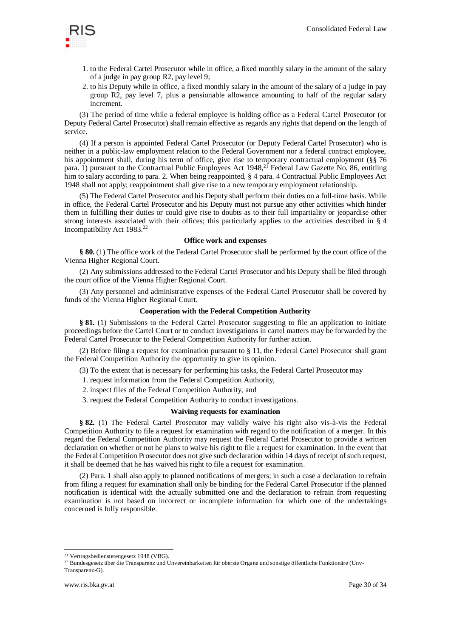

- 1. to the Federal Cartel Prosecutor while in office, a fixed monthly salary in the amount of the salary of a judge in pay group R2, pay level 9;
- 2. to his Deputy while in office, a fixed monthly salary in the amount of the salary of a judge in pay group R2, pay level 7, plus a pensionable allowance amounting to half of the regular salary increment.

(3) The period of time while a federal employee is holding office as a Federal Cartel Prosecutor (or Deputy Federal Cartel Prosecutor) shall remain effective as regards any rights that depend on the length of service.

(4) If a person is appointed Federal Cartel Prosecutor (or Deputy Federal Cartel Prosecutor) who is neither in a public-law employment relation to the Federal Government nor a federal contract employee, his appointment shall, during his term of office, give rise to temporary contractual employment (§§ 76 para. 1) pursuant to the Contractual Public Employees Act 1948,<sup>21</sup> Federal Law Gazette No. 86, entitling him to salary according to para. 2. When being reappointed, § 4 para. 4 Contractual Public Employees Act 1948 shall not apply; reappointment shall give rise to a new temporary employment relationship.

(5) The Federal Cartel Prosecutor and his Deputy shall perform their duties on a full-time basis. While in office, the Federal Cartel Prosecutor and his Deputy must not pursue any other activities which hinder them in fulfilling their duties or could give rise to doubts as to their full impartiality or jeopardise other strong interests associated with their offices; this particularly applies to the activities described in § 4 Incompatibility Act 1983.<sup>22</sup>

#### **Office work and expenses**

**§ 80.** (1) The office work of the Federal Cartel Prosecutor shall be performed by the court office of the Vienna Higher Regional Court.

(2) Any submissions addressed to the Federal Cartel Prosecutor and his Deputy shall be filed through the court office of the Vienna Higher Regional Court.

(3) Any personnel and administrative expenses of the Federal Cartel Prosecutor shall be covered by funds of the Vienna Higher Regional Court.

#### **Cooperation with the Federal Competition Authority**

**§ 81.** (1) Submissions to the Federal Cartel Prosecutor suggesting to file an application to initiate proceedings before the Cartel Court or to conduct investigations in cartel matters may be forwarded by the Federal Cartel Prosecutor to the Federal Competition Authority for further action.

(2) Before filing a request for examination pursuant to § 11, the Federal Cartel Prosecutor shall grant the Federal Competition Authority the opportunity to give its opinion.

(3) To the extent that is necessary for performing his tasks, the Federal Cartel Prosecutor may

1. request information from the Federal Competition Authority,

2. inspect files of the Federal Competition Authority, and

3. request the Federal Competition Authority to conduct investigations.

#### **Waiving requests for examination**

**§ 82.** (1) The Federal Cartel Prosecutor may validly waive his right also vis-à-vis the Federal Competition Authority to file a request for examination with regard to the notification of a merger. In this regard the Federal Competition Authority may request the Federal Cartel Prosecutor to provide a written declaration on whether or not he plans to waive his right to file a request for examination. In the event that the Federal Competition Prosecutor does not give such declaration within 14 days of receipt of such request, it shall be deemed that he has waived his right to file a request for examination.

(2) Para. 1 shall also apply to planned notifications of mergers; in such a case a declaration to refrain from filing a request for examination shall only be binding for the Federal Cartel Prosecutor if the planned notification is identical with the actually submitted one and the declaration to refrain from requesting examination is not based on incorrect or incomplete information for which one of the undertakings concerned is fully responsible.

-

<sup>21</sup> Vertragsbedienstetengesetz 1948 (VBG).

<sup>&</sup>lt;sup>22</sup> Bundesgesetz über die Transparenz und Unvereinbarkeiten für oberste Organe und sonstige öffentliche Funktionäre (Unv-

Transparenz-G).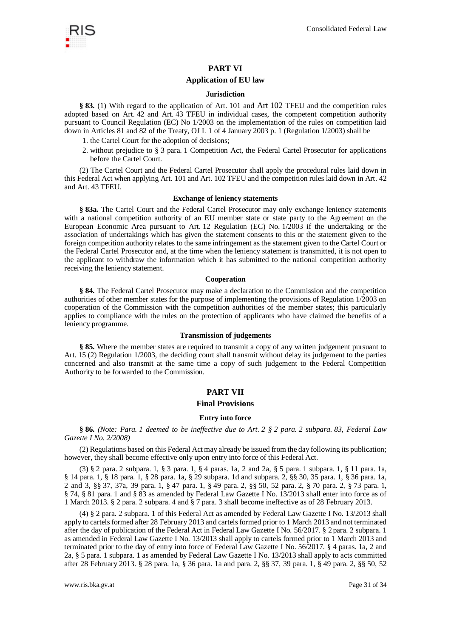## **PART VI**

## **Application of EU law**

#### **Jurisdiction**

**§ 83.** (1) With regard to the application of Art. 101 and Art 102 TFEU and the competition rules adopted based on Art. 42 and Art. 43 TFEU in individual cases, the competent competition authority pursuant to Council Regulation (EC) No 1/2003 on the implementation of the rules on competition laid down in Articles 81 and 82 of the Treaty, OJ L 1 of 4 January 2003 p. 1 (Regulation 1/2003) shall be

- 1. the Cartel Court for the adoption of decisions;
- 2. without prejudice to § 3 para. 1 Competition Act, the Federal Cartel Prosecutor for applications before the Cartel Court.

(2) The Cartel Court and the Federal Cartel Prosecutor shall apply the procedural rules laid down in this Federal Act when applying Art. 101 and Art. 102 TFEU and the competition rules laid down in Art. 42 and Art. 43 TFEU.

#### **Exchange of leniency statements**

**§ 83a.** The Cartel Court and the Federal Cartel Prosecutor may only exchange leniency statements with a national competition authority of an EU member state or state party to the Agreement on the European Economic Area pursuant to Art. 12 Regulation (EC) No. 1/2003 if the undertaking or the association of undertakings which has given the statement consents to this or the statement given to the foreign competition authority relates to the same infringement as the statement given to the Cartel Court or the Federal Cartel Prosecutor and, at the time when the leniency statement is transmitted, it is not open to the applicant to withdraw the information which it has submitted to the national competition authority receiving the leniency statement.

#### **Cooperation**

**§ 84.** The Federal Cartel Prosecutor may make a declaration to the Commission and the competition authorities of other member states for the purpose of implementing the provisions of Regulation 1/2003 on cooperation of the Commission with the competition authorities of the member states; this particularly applies to compliance with the rules on the protection of applicants who have claimed the benefits of a leniency programme.

#### **Transmission of judgements**

**§ 85.** Where the member states are required to transmit a copy of any written judgement pursuant to Art. 15 (2) Regulation 1/2003, the deciding court shall transmit without delay its judgement to the parties concerned and also transmit at the same time a copy of such judgement to the Federal Competition Authority to be forwarded to the Commission.

## **PART VII**

## **Final Provisions**

### **Entry into force**

**§ 86.** *(Note: Para. 1 deemed to be ineffective due to Art. 2 § 2 para. 2 subpara. 83, Federal Law Gazette I No. 2/2008)*

(2) Regulations based on this Federal Act may already be issued from the day following its publication; however, they shall become effective only upon entry into force of this Federal Act.

(3) § 2 para. 2 subpara. 1, § 3 para. 1, § 4 paras. 1a, 2 and 2a, § 5 para. 1 subpara. 1, § 11 para. 1a, § 14 para. 1, § 18 para. 1, § 28 para. 1a, § 29 subpara. 1d and subpara. 2, §§ 30, 35 para. 1, § 36 para. 1a, 2 and 3, §§ 37, 37a, 39 para. 1, § 47 para. 1, § 49 para. 2, §§ 50, 52 para. 2, § 70 para. 2, § 73 para. 1, § 74, § 81 para. 1 and § 83 as amended by Federal Law Gazette I No. 13/2013 shall enter into force as of 1 March 2013. § 2 para. 2 subpara. 4 and § 7 para. 3 shall become ineffective as of 28 February 2013.

(4) § 2 para. 2 subpara. 1 of this Federal Act as amended by Federal Law Gazette I No. 13/2013 shall apply to cartels formed after 28 February 2013 and cartels formed prior to 1 March 2013 and not terminated after the day of publication of the Federal Act in Federal Law Gazette I No. 56/2017. § 2 para. 2 subpara. 1 as amended in Federal Law Gazette I No. 13/2013 shall apply to cartels formed prior to 1 March 2013 and terminated prior to the day of entry into force of Federal Law Gazette I No. 56/2017. § 4 paras. 1a, 2 and 2a, § 5 para. 1 subpara. 1 as amended by Federal Law Gazette I No. 13/2013 shall apply to acts committed after 28 February 2013. § 28 para. 1a, § 36 para. 1a and para. 2, §§ 37, 39 para. 1, § 49 para. 2, §§ 50, 52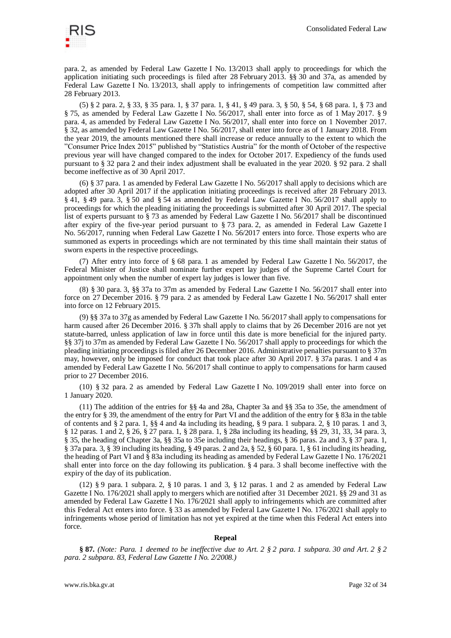

para. 2, as amended by Federal Law Gazette I No. 13/2013 shall apply to proceedings for which the application initiating such proceedings is filed after 28 February 2013. §§ 30 and 37a, as amended by Federal Law Gazette I No. 13/2013, shall apply to infringements of competition law committed after 28 February 2013.

(5) § 2 para. 2, § 33, § 35 para. 1, § 37 para. 1, § 41, § 49 para. 3, § 50, § 54, § 68 para. 1, § 73 and § 75, as amended by Federal Law Gazette I No. 56/2017, shall enter into force as of 1 May 2017. § 9 para. 4, as amended by Federal Law Gazette I No. 56/2017, shall enter into force on 1 November 2017. § 32, as amended by Federal Law Gazette I No. 56/2017, shall enter into force as of 1 January 2018. From the year 2019, the amounts mentioned there shall increase or reduce annually to the extent to which the "Consumer Price Index 2015" published by "Statistics Austria" for the month of October of the respective previous year will have changed compared to the index for October 2017. Expediency of the funds used pursuant to § 32 para 2 and their index adjustment shall be evaluated in the year 2020. § 92 para. 2 shall become ineffective as of 30 April 2017.

(6) § 37 para. 1 as amended by Federal Law Gazette I No. 56/2017 shall apply to decisions which are adopted after 30 April 2017 if the application initiating proceedings is received after 28 February 2013. § 41, § 49 para. 3, § 50 and § 54 as amended by Federal Law Gazette I No. 56/2017 shall apply to proceedings for which the pleading initiating the proceedings is submitted after 30 April 2017. The special list of experts pursuant to § 73 as amended by Federal Law Gazette I No. 56/2017 shall be discontinued after expiry of the five-year period pursuant to § 73 para. 2, as amended in Federal Law Gazette I No. 56/2017, running when Federal Law Gazette I No. 56/2017 enters into force. Those experts who are summoned as experts in proceedings which are not terminated by this time shall maintain their status of sworn experts in the respective proceedings.

(7) After entry into force of § 68 para. 1 as amended by Federal Law Gazette I No. 56/2017, the Federal Minister of Justice shall nominate further expert lay judges of the Supreme Cartel Court for appointment only when the number of expert lay judges is lower than five.

(8) § 30 para. 3, §§ 37a to 37m as amended by Federal Law Gazette I No. 56/2017 shall enter into force on 27 December 2016. § 79 para. 2 as amended by Federal Law Gazette I No. 56/2017 shall enter into force on 12 February 2015.

(9) §§ 37a to 37g as amended by Federal Law Gazette I No. 56/2017 shall apply to compensations for harm caused after 26 December 2016. § 37h shall apply to claims that by 26 December 2016 are not yet statute-barred, unless application of law in force until this date is more beneficial for the injured party. §§ 37j to 37m as amended by Federal Law Gazette I No. 56/2017 shall apply to proceedings for which the pleading initiating proceedings is filed after 26 December 2016. Administrative penalties pursuant to § 37m may, however, only be imposed for conduct that took place after 30 April 2017. § 37a paras. 1 and 4 as amended by Federal Law Gazette I No. 56/2017 shall continue to apply to compensations for harm caused prior to 27 December 2016.

(10) § 32 para. 2 as amended by Federal Law Gazette I No. 109/2019 shall enter into force on 1 January 2020.

(11) The addition of the entries for §§ 4a and 28a, Chapter 3a and §§ 35a to 35e, the amendment of the entry for § 39, the amendment of the entry for Part VI and the addition of the entry for § 83a in the table of contents and § 2 para. 1, §§ 4 and 4a including its heading, § 9 para. 1 subpara. 2, § 10 paras. 1 and 3, § 12 paras. 1 and 2, § 26, § 27 para. 1, § 28 para. 1, § 28a including its heading, §§ 29, 31, 33, 34 para. 3, § 35, the heading of Chapter 3a, §§ 35a to 35e including their headings, § 36 paras. 2a and 3, § 37 para. 1, § 37a para. 3, § 39 including its heading, § 49 paras. 2 and 2a, § 52, § 60 para. 1, § 61 including its heading, the heading of Part VI and § 83a including its heading as amended by Federal Law Gazette I No. 176/2021 shall enter into force on the day following its publication. § 4 para. 3 shall become ineffective with the expiry of the day of its publication.

(12) § 9 para. 1 subpara. 2, § 10 paras. 1 and 3, § 12 paras. 1 and 2 as amended by Federal Law Gazette I No. 176/2021 shall apply to mergers which are notified after 31 December 2021. §§ 29 and 31 as amended by Federal Law Gazette I No. 176/2021 shall apply to infringements which are committed after this Federal Act enters into force. § 33 as amended by Federal Law Gazette I No. 176/2021 shall apply to infringements whose period of limitation has not yet expired at the time when this Federal Act enters into force.

#### **Repeal**

**§ 87.** *(Note: Para. 1 deemed to be ineffective due to Art. 2 § 2 para. 1 subpara. 30 and Art. 2 § 2 para. 2 subpara. 83, Federal Law Gazette I No. 2/2008.)*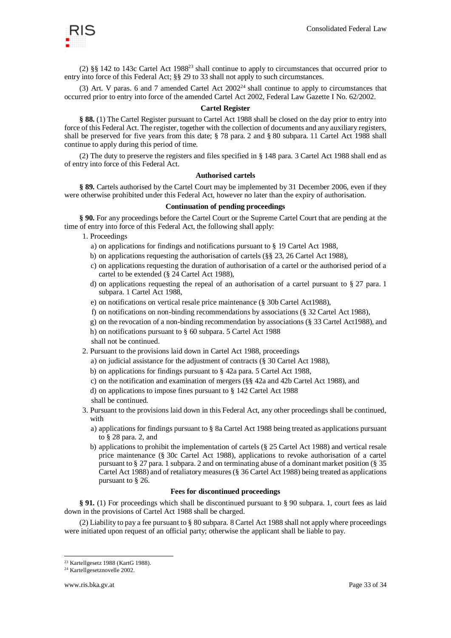

(2) §§ 142 to 143c Cartel Act 1988<sup>23</sup> shall continue to apply to circumstances that occurred prior to entry into force of this Federal Act; §§ 29 to 33 shall not apply to such circumstances.

(3) Art. V paras. 6 and 7 amended Cartel Act  $2002<sup>24</sup>$  shall continue to apply to circumstances that occurred prior to entry into force of the amended Cartel Act 2002, Federal Law Gazette I No. 62/2002.

## **Cartel Register**

**§ 88.** (1) The Cartel Register pursuant to Cartel Act 1988 shall be closed on the day prior to entry into force of this Federal Act. The register, together with the collection of documents and any auxiliary registers, shall be preserved for five years from this date; § 78 para. 2 and § 80 subpara. 11 Cartel Act 1988 shall continue to apply during this period of time.

(2) The duty to preserve the registers and files specified in § 148 para. 3 Cartel Act 1988 shall end as of entry into force of this Federal Act.

#### **Authorised cartels**

**§ 89.** Cartels authorised by the Cartel Court may be implemented by 31 December 2006, even if they were otherwise prohibited under this Federal Act, however no later than the expiry of authorisation.

## **Continuation of pending proceedings**

**§ 90.** For any proceedings before the Cartel Court or the Supreme Cartel Court that are pending at the time of entry into force of this Federal Act, the following shall apply:

1. Proceedings

- a) on applications for findings and notifications pursuant to § 19 Cartel Act 1988,
- b) on applications requesting the authorisation of cartels (§§ 23, 26 Cartel Act 1988),
- c) on applications requesting the duration of authorisation of a cartel or the authorised period of a cartel to be extended (§ 24 Cartel Act 1988),
- d) on applications requesting the repeal of an authorisation of a cartel pursuant to § 27 para. 1 subpara. 1 Cartel Act 1988,
- e) on notifications on vertical resale price maintenance (§ 30b Cartel Act1988),
- f) on notifications on non-binding recommendations by associations (§ 32 Cartel Act 1988),
- g) on the revocation of a non-binding recommendation by associations (§ 33 Cartel Act1988), and
- h) on notifications pursuant to § 60 subpara. 5 Cartel Act 1988

shall not be continued.

- 2. Pursuant to the provisions laid down in Cartel Act 1988, proceedings
	- a) on judicial assistance for the adjustment of contracts (§ 30 Cartel Act 1988),
	- b) on applications for findings pursuant to § 42a para. 5 Cartel Act 1988,
	- c) on the notification and examination of mergers (§§ 42a and 42b Cartel Act 1988), and
	- d) on applications to impose fines pursuant to § 142 Cartel Act 1988

shall be continued.

- 3. Pursuant to the provisions laid down in this Federal Act, any other proceedings shall be continued, with
	- a) applications for findings pursuant to § 8a Cartel Act 1988 being treated as applications pursuant to § 28 para. 2, and
	- b) applications to prohibit the implementation of cartels (§ 25 Cartel Act 1988) and vertical resale price maintenance (§ 30c Cartel Act 1988), applications to revoke authorisation of a cartel pursuant to § 27 para. 1 subpara. 2 and on terminating abuse of a dominant market position (§ 35 Cartel Act 1988) and of retaliatory measures (§ 36 Cartel Act 1988) being treated as applications pursuant to § 26.

#### **Fees for discontinued proceedings**

**§ 91.** (1) For proceedings which shall be discontinued pursuant to § 90 subpara. 1, court fees as laid down in the provisions of Cartel Act 1988 shall be charged.

(2) Liability to pay a fee pursuant to § 80 subpara. 8 Cartel Act 1988 shall not apply where proceedings were initiated upon request of an official party; otherwise the applicant shall be liable to pay.

<sup>23</sup> Kartellgesetz 1988 (KartG 1988).

<sup>24</sup> Kartellgesetznovelle 2002.